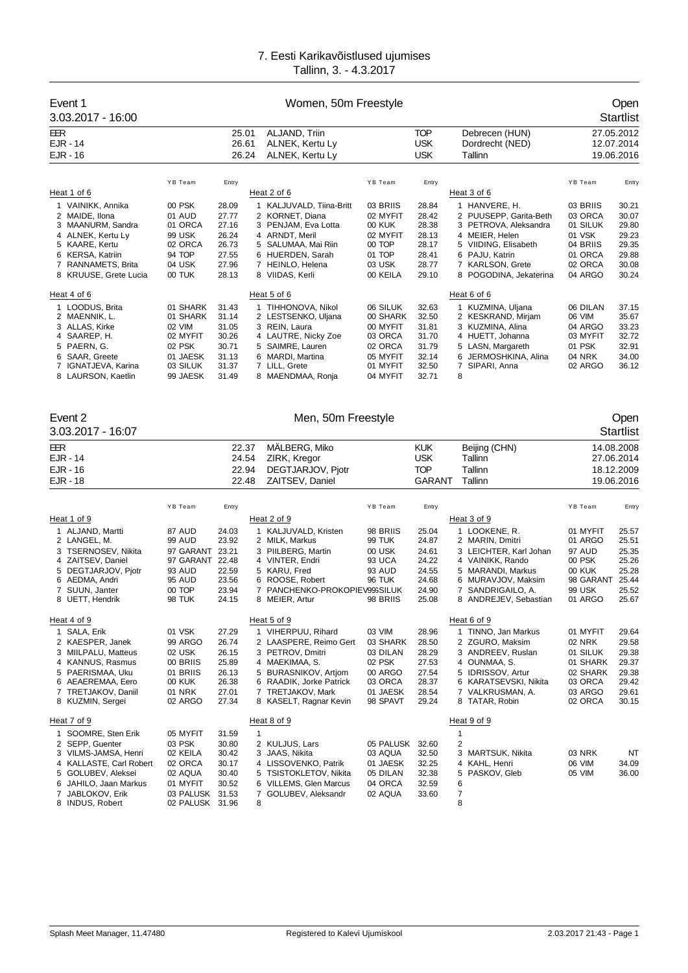| Event 1<br>3.03.2017 - 16:00                            |                       |                |       | Women, 50m Freestyle                            |                           |                |                                                 |                      | Open<br><b>Startlist</b> |
|---------------------------------------------------------|-----------------------|----------------|-------|-------------------------------------------------|---------------------------|----------------|-------------------------------------------------|----------------------|--------------------------|
| EER                                                     |                       | 25.01          |       | ALJAND, Triin                                   |                           | <b>TOP</b>     | Debrecen (HUN)                                  |                      | 27.05.2012               |
| EJR - 14                                                |                       | 26.61          |       | ALNEK, Kertu Ly                                 |                           | <b>USK</b>     | Dordrecht (NED)                                 |                      | 12.07.2014               |
| EJR - 16                                                |                       |                | 26.24 | ALNEK, Kertu Ly                                 |                           | <b>USK</b>     | Tallinn                                         |                      | 19.06.2016               |
|                                                         |                       |                |       |                                                 |                           |                |                                                 |                      |                          |
|                                                         | YB Team               | Entry          |       |                                                 | YB Team                   | Entry          |                                                 | YB Team              | Entry                    |
| Heat 1 of 6                                             |                       |                |       | Heat 2 of 6                                     |                           |                | Heat 3 of 6                                     |                      |                          |
| 1 VAINIKK, Annika                                       | 00 PSK                | 28.09          |       | 1 KALJUVALD, Tiina-Britt                        | 03 BRIIS                  | 28.84          | 1 HANVERE, H.                                   | 03 BRIIS             | 30.21                    |
| 2 MAIDE, Ilona<br>3 MAANURM, Sandra                     | 01 AUD<br>01 ORCA     | 27.77<br>27.16 |       | 2 KORNET, Diana<br>3 PENJAM, Eva Lotta          | 02 MYFIT<br><b>00 KUK</b> | 28.42<br>28.38 | 2 PUUSEPP, Garita-Beth<br>3 PETROVA, Aleksandra | 03 ORCA<br>01 SILUK  | 30.07<br>29.80           |
| 4 ALNEK, Kertu Ly                                       | 99 USK                | 26.24          |       | 4 ARNDT, Meril                                  | 02 MYFIT                  | 28.13          | 4 MEIER, Helen                                  | 01 VSK               | 29.23                    |
| 5 KAARE, Kertu                                          | 02 ORCA               | 26.73          |       | 5 SALUMAA, Mai Riin                             | 00 TOP                    | 28.17          | 5 VIIDING, Elisabeth                            | 04 BRIIS             | 29.35                    |
| 6 KERSA, Katriin                                        | 94 TOP                | 27.55          |       | 6 HUERDEN, Sarah                                | 01 TOP                    | 28.41          | 6 PAJU, Katrin                                  | 01 ORCA              | 29.88                    |
| 7 RANNAMETS, Brita                                      | 04 USK                | 27.96          |       | 7 HEINLO, Helena                                | 03 USK                    | 28.77          | 7 KARLSON, Grete                                | 02 ORCA              | 30.08                    |
| 8 KRUUSE, Grete Lucia                                   | 00 TUK                | 28.13          |       | 8 VIIDAS, Kerli                                 | 00 KEILA                  | 29.10          | 8 POGODINA, Jekaterina                          | 04 ARGO              | 30.24                    |
| Heat 4 of 6                                             |                       |                |       | Heat 5 of 6                                     |                           |                | Heat 6 of 6                                     |                      |                          |
| 1 LOODUS, Brita                                         | 01 SHARK              | 31.43          |       | 1 TIHHONOVA, Nikol                              | 06 SILUK                  | 32.63          | 1 KUZMINA, Uljana                               | 06 DILAN             | 37.15                    |
| 2 MAENNIK, L.                                           | 01 SHARK              | 31.14          |       | 2 LESTSENKO, Uljana                             | 00 SHARK                  | 32.50          | 2 KESKRAND, Mirjam                              | 06 VIM               | 35.67                    |
| 3 ALLAS, Kirke                                          | 02 VIM                | 31.05          |       | 3 REIN, Laura                                   | 00 MYFIT                  | 31.81          | 3 KUZMINA, Alina                                | 04 ARGO              | 33.23                    |
| 4 SAAREP, H.                                            | 02 MYFIT              | 30.26          |       | 4 LAUTRE, Nicky Zoe                             | 03 ORCA                   | 31.70          | 4 HUETT, Johanna                                | 03 MYFIT             | 32.72                    |
| 5 PAERN, G.                                             | 02 PSK                | 30.71          |       | 5 SAIMRE, Lauren                                | 02 ORCA                   | 31.79          | 5 LASN, Margareth                               | 01 PSK               | 32.91                    |
| 6 SAAR, Greete<br>7 IGNATJEVA, Karina                   | 01 JAESK<br>03 SILUK  | 31.13<br>31.37 |       | 6 MARDI, Martina<br>7 LILL, Grete               | 05 MYFIT<br>01 MYFIT      | 32.14<br>32.50 | 6 JERMOSHKINA, Alina<br>7 SIPARI, Anna          | 04 NRK<br>02 ARGO    | 34.00<br>36.12           |
| 8 LAURSON, Kaetlin                                      | 99 JAESK              | 31.49          |       | 8 MAENDMAA, Ronja                               | 04 MYFIT                  | 32.71          | 8                                               |                      |                          |
| Event 2<br>3.03.2017 - 16:07                            |                       |                |       | Men, 50m Freestyle                              |                           |                |                                                 |                      | Open<br><b>Startlist</b> |
| EER                                                     |                       |                | 22.37 | MÄLBERG, Miko                                   |                           | <b>KUK</b>     | Beijing (CHN)                                   |                      | 14.08.2008               |
| EJR - 14                                                |                       |                | 24.54 | ZIRK, Kregor                                    |                           | <b>USK</b>     | Tallinn                                         |                      | 27.06.2014               |
| $EJR - 16$                                              |                       |                | 22.94 | DEGTJARJOV, Pjotr                               |                           | <b>TOP</b>     | Tallinn                                         |                      | 18.12.2009               |
| <b>EJR - 18</b>                                         |                       |                | 22.48 | ZAITSEV, Daniel                                 |                           | GARANT         | Tallinn                                         |                      | 19.06.2016               |
|                                                         | YB Team               | Entry          |       |                                                 | YB Team                   | Entry          |                                                 | YB Team              | Entry                    |
| Heat 1 of 9                                             |                       |                |       | Heat 2 of 9                                     |                           |                | Heat 3 of 9                                     |                      |                          |
| 1 ALJAND, Martti                                        | 87 AUD                | 24.03          |       | 1 KALJUVALD, Kristen                            | 98 BRIIS                  | 25.04          | 1 LOOKENE, R.                                   | 01 MYFIT             | 25.57                    |
| 2 LANGEL, M.                                            | 99 AUD                | 23.92          |       | 2 MILK, Markus                                  | 99 TUK                    | 24.87          | 2 MARIN, Dmitri                                 | 01 ARGO              | 25.51                    |
| 3 TSERNOSEV, Nikita                                     | 97 GARANT             | 23.21          |       | 3 PIILBERG, Martin                              | 00 USK                    | 24.61          | 3 LEICHTER, Karl Johan                          | 97 AUD               | 25.35                    |
| 4 ZAITSEV, Daniel                                       | 97 GARANT             | 22.48          |       | 4 VINTER, Endri                                 | 93 UCA                    | 24.22          | 4 VAINIKK, Rando                                | 00 PSK               | 25.26                    |
| 5 DEGTJARJOV, Pjotr                                     | 93 AUD                | 22.59          |       | 5 KARU, Fred                                    | 93 AUD                    | 24.55          | 5 MARANDI, Markus                               | 00 KUK               | 25.28                    |
| 6 AEDMA, Andri                                          | 95 AUD                | 23.56          |       | 6 ROOSE, Robert                                 | 96 TUK                    | 24.68          | 6 MURAVJOV, Maksim                              | 98 GARANT            | 25.44                    |
| 7 SUUN, Janter<br>8 UETT, Hendrik                       | 00 TOP<br>98 TUK      | 23.94<br>24.15 |       | 7 PANCHENKO-PROKOPIEV993SILUK<br>8 MEIER, Artur | 98 BRIIS                  | 24.90<br>25.08 | 7 SANDRIGAILO, A.<br>8 ANDREJEV, Sebastian      | 99 USK<br>01 ARGO    | 25.52<br>25.67           |
|                                                         |                       |                |       |                                                 |                           |                |                                                 |                      |                          |
| Heat 4 of 9                                             |                       |                |       | Heat 5 of 9                                     |                           |                | Heat 6 of 9                                     |                      |                          |
| 1 SALA, Erik                                            | 01 VSK                | 27.29          |       | 1 VIHERPUU, Rihard                              | 03 VIM                    | 28.96          | 1 TINNO, Jan Markus                             | 01 MYFIT             | 29.64                    |
| 2 KAESPER, Janek                                        | 99 ARGO               | 26.74          |       | 2 LAASPERE, Reimo Gert<br>3 PETROV, Dmitri      | 03 SHARK                  | 28.50          | 2 ZGURO, Maksim                                 | 02 NRK               | 29.58                    |
| 3 MIILPALU, Matteus<br>4 KANNUS, Rasmus                 | 02 USK<br>00 BRIIS    | 26.15<br>25.89 |       | 4 MAEKIMAA, S.                                  | 03 DILAN<br>02 PSK        | 28.29<br>27.53 | 3 ANDREEV, Ruslan<br>4 OUNMAA, S.               | 01 SILUK<br>01 SHARK | 29.38<br>29.37           |
| 5 PAERISMAA, Uku                                        | 01 BRIIS              | 26.13          |       | 5 BURASNIKOV, Artjom                            | 00 ARGO                   | 27.54          | 5 IDRISSOV, Artur                               | 02 SHARK             | 29.38                    |
| 6 AEAEREMAA, Eero                                       | 00 KUK                | 26.38          |       | 6 RAADIK, Jorke Patrick                         | 03 ORCA                   | 28.37          | 6 KARATSEVSKI, Nikita                           | 03 ORCA              | 29.42                    |
| 7 TRETJAKOV, Daniil                                     | 01 NRK                | 27.01          |       | 7 TRETJAKOV, Mark                               | 01 JAESK                  | 28.54          | 7 VALKRUSMAN, A.                                | 03 ARGO              | 29.61                    |
| 8 KUZMIN, Sergei                                        | 02 ARGO               | 27.34          |       | 8 KASELT, Ragnar Kevin                          | 98 SPAVT                  | 29.24          | 8 TATAR, Robin                                  | 02 ORCA              | 30.15                    |
| Heat 7 of 9                                             |                       |                |       | Heat 8 of 9                                     |                           |                | Heat 9 of 9                                     |                      |                          |
| 1 SOOMRE, Sten Erik                                     | 05 MYFIT              | 31.59          | 1     |                                                 |                           |                | $\mathbf{1}$                                    |                      |                          |
| 2 SEPP, Guenter                                         | 03 PSK                | 30.80          |       | 2 KULJUS, Lars                                  | 05 PALUSK                 | 32.60          | $\overline{2}$                                  |                      |                          |
| 3 VILMS-JAMSA, Henri                                    | 02 KEILA              | 30.42          |       | 3 JAAS, Nikita                                  | 03 AQUA                   | 32.50          | 3 MARTSUK, Nikita                               | 03 NRK               | NT                       |
| 4 KALLASTE, Carl Robert                                 | 02 ORCA               | 30.17          |       | 4 LISSOVENKO, Patrik                            | 01 JAESK                  | 32.25          | 4 KAHL, Henri                                   | 06 VIM               | 34.09                    |
| 5 GOLUBEV, Aleksei                                      | 02 AQUA               | 30.40          |       | 5 TSISTOKLETOV, Nikita                          | 05 DILAN                  | 32.38          | 5 PASKOV, Gleb                                  | 05 VIM               | 36.00                    |
| 6 JAHILO, Jaan Markus<br>JABLOKOV, Erik<br>$\mathbf{7}$ | 01 MYFIT<br>03 PALUSK | 30.52<br>31.53 |       | 6 VILLEMS, Glen Marcus<br>7 GOLUBEV, Aleksandr  | 04 ORCA<br>02 AQUA        | 32.59<br>33.60 | 6<br>7                                          |                      |                          |
| 8 INDUS, Robert                                         | 02 PALUSK 31.96       |                | 8     |                                                 |                           |                | 8                                               |                      |                          |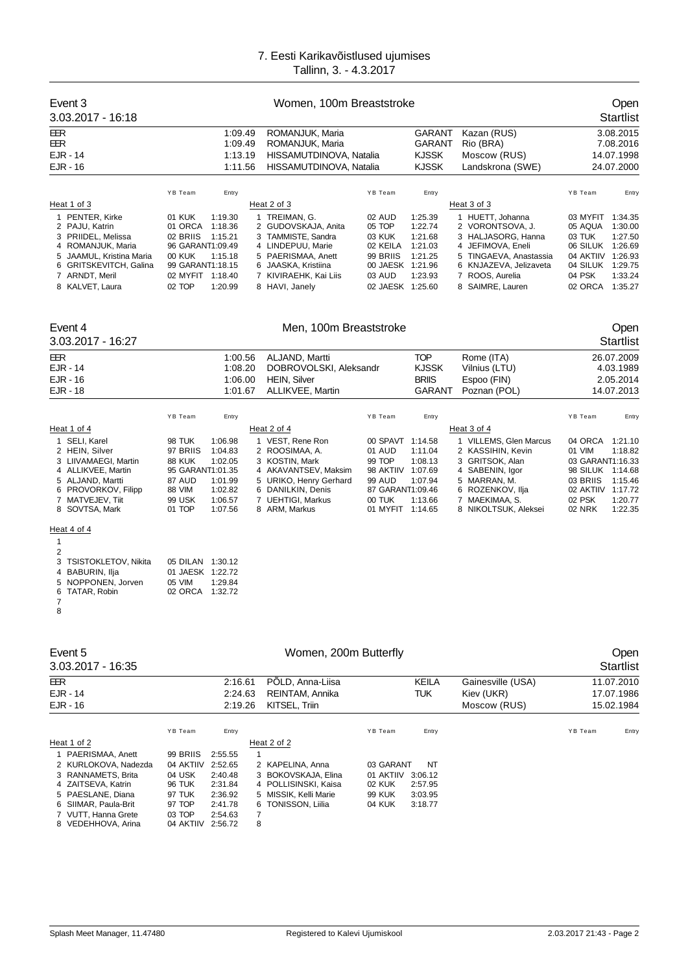| Event 3<br>$3.03.2017 - 16.18$                                                                                                                                        |                                                                                                              |                                                                | Women, 100m Breaststroke                                                                                                                                                |                                                                                      |                                                                                      |                                                                                                                                                                          |                                                                                         | <b>Open</b><br><b>Startlist</b>                                                      |
|-----------------------------------------------------------------------------------------------------------------------------------------------------------------------|--------------------------------------------------------------------------------------------------------------|----------------------------------------------------------------|-------------------------------------------------------------------------------------------------------------------------------------------------------------------------|--------------------------------------------------------------------------------------|--------------------------------------------------------------------------------------|--------------------------------------------------------------------------------------------------------------------------------------------------------------------------|-----------------------------------------------------------------------------------------|--------------------------------------------------------------------------------------|
| EER<br>EER<br><b>EJR - 14</b>                                                                                                                                         |                                                                                                              | 1:09.49<br>1:09.49<br>1:13.19                                  | ROMANJUK, Maria<br>ROMANJUK, Maria<br>HISSAMUTDINOVA, Natalia                                                                                                           |                                                                                      | <b>GARANT</b><br><b>GARANT</b><br><b>KJSSK</b>                                       | Kazan (RUS)<br>Rio (BRA)<br>Moscow (RUS)                                                                                                                                 |                                                                                         | 3.08.2015<br>7.08.2016<br>14.07.1998                                                 |
| $EJR - 16$                                                                                                                                                            |                                                                                                              | 1:11.56                                                        | HISSAMUTDINOVA, Natalia                                                                                                                                                 |                                                                                      | <b>KJSSK</b>                                                                         | Landskrona (SWE)                                                                                                                                                         |                                                                                         | 24.07.2000                                                                           |
| Heat 1 of 3                                                                                                                                                           | YB Team                                                                                                      | Entry                                                          | Heat 2 of 3                                                                                                                                                             | YB Team                                                                              | Entry                                                                                | Heat 3 of 3                                                                                                                                                              | YB Team                                                                                 | Entry                                                                                |
| PENTER, Kirke<br>2 PAJU, Katrin<br>3 PRIIDEL, Melissa<br>4 ROMANJUK, Maria<br>5 JAAMUL, Kristina Maria<br>6 GRITSKEVITCH, Galina<br>7 ARNDT, Meril<br>8 KALVET, Laura | 01 KUK<br>01 ORCA<br>02 BRIIS<br>96 GARANT1:09.49<br><b>00 KUK</b><br>99 GARANT1:18.15<br>02 MYFIT<br>02 TOP | 1:19.30<br>1:18.36<br>1:15.21<br>1:15.18<br>1:18.40<br>1:20.99 | 1 TREIMAN, G.<br>2 GUDOVSKAJA, Anita<br>3 TAMMISTE, Sandra<br>4 LINDEPUU, Marie<br>5 PAERISMAA, Anett<br>6 JAASKA, Kristiina<br>7 KIVIRAEHK, Kai Liis<br>8 HAVI, Janely | 02 AUD<br>05 TOP<br>03 KUK<br>02 KEILA<br>99 BRIIS<br>00 JAESK<br>03 AUD<br>02 JAESK | 1:25.39<br>1:22.74<br>1:21.68<br>1:21.03<br>1:21.25<br>1:21.96<br>1:23.93<br>1:25.60 | HUETT, Johanna<br>2 VORONTSOVA, J.<br>3 HALJASORG, Hanna<br>4 JEFIMOVA, Eneli<br>5 TINGAEVA, Anastassia<br>6 KNJAZEVA, Jelizaveta<br>7 ROOS, Aurelia<br>8 SAIMRE, Lauren | 03 MYFIT<br>05 AQUA<br>03 TUK<br>06 SILUK<br>04 AKTIIV<br>04 SILUK<br>04 PSK<br>02 ORCA | 1:34.35<br>1:30.00<br>1:27.50<br>1:26.69<br>1:26.93<br>1:29.75<br>1:33.24<br>1:35.27 |

### Event 4 Compared the Men, 100m Breaststroke Compared the Compared Compared the Compared Compared Compared Tennes

| 3.03.2017 - 16:27 |         |         |                                |              |                     |         | Startlist  |
|-------------------|---------|---------|--------------------------------|--------------|---------------------|---------|------------|
| EER               |         |         | 1:00.56 ALJAND, Martti         | TOP          | Rome (ITA)          |         | 26.07.2009 |
| EJR - 14          |         |         | 1:08.20 DOBROVOLSKI, Aleksandr | <b>KJSSK</b> | Vilnius (LTU)       |         | 4.03.1989  |
| <b>EJR - 16</b>   |         | 1:06.00 | HEIN. Silver                   | <b>BRIIS</b> | Espoo (FIN)         |         | 2.05.2014  |
| EJR - 18          |         | 1:01.67 | ALLIKVEE. Martin               |              | GARANT Poznan (POL) |         | 14.07.2013 |
|                   | YB Team | Entry   | YB Team                        | Entry        |                     | YB Team | Entry      |

| Heat 1 of 4          |                  |         | Heat 2 of 4            |                  |         | Heat 3 of 4            |                   |         |
|----------------------|------------------|---------|------------------------|------------------|---------|------------------------|-------------------|---------|
| 1 SELI, Karel        | <b>98 TUK</b>    | 1:06.98 | VEST. Rene Ron         | 00 SPAVT         | 1:14.58 | 1 VILLEMS, Glen Marcus | 04 ORCA           | 1:21.10 |
| 2 HEIN, Silver       | 97 BRIIS         | 1:04.83 | 2 ROOSIMAA, A.         | 01 AUD           | 1:11.04 | 2 KASSIHIN, Kevin      | 01 VIM            | 1:18.82 |
| 3 LIIVAMAEGI, Martin | 88 KUK           | 1:02.05 | 3 KOSTIN, Mark         | 99 TOP           | 1:08.13 | 3 GRITSOK, Alan        | 03 GARANT1:16.33  |         |
| 4 ALLIKVEE, Martin   | 95 GARANT1:01.35 |         | 4 AKAVANTSEV, Maksim   | 98 AKTIIV        | 1:07.69 | 4 SABENIN, Igor        | 98 SILUK 1:14.68  |         |
| 5 ALJAND, Martti     | 87 AUD           | 1:01.99 | 5 URIKO, Henry Gerhard | 99 AUD           | 1:07.94 | 5 MARRAN. M.           | 03 BRIIS          | 1:15.46 |
| 6 PROVORKOV, Filipp  | 88 VIM           | 1:02.82 | 6 DANILKIN, Denis      | 87 GARANT1:09.46 |         | 6 ROZENKOV, Ilja       | 02 AKTIIV 1:17.72 |         |
| 7 MATVEJEV. Tiit     | 99 USK           | 1:06.57 | 7 UEHTIGI, Markus      | 00 TUK           | 1:13.66 | 7 MAEKIMAA, S.         | 02 PSK            | 1:20.77 |
| 8 SOVTSA, Mark       | 01 TOP           | 1:07.56 | 8 ARM. Markus          | 01 MYFIT         | 1:14.65 | 8 NIKOLTSUK, Aleksei   | 02 NRK            | 1:22.35 |

## Heat 4 of 4

| 2 |                        |                  |         |
|---|------------------------|------------------|---------|
|   | 3 TSISTOKLETOV, Nikita | 05 DILAN 1:30.12 |         |
|   | 4 BABURIN, Ilja        | 01 JAESK 1:22.72 |         |
|   | 5 NOPPONEN, Jorven     | 05 VIM           | 1:29.84 |
|   | 6 TATAR, Robin         | 02 ORCA 1:32.72  |         |
|   |                        |                  |         |
| 8 |                        |                  |         |

Event 5 Communication of the UV Women, 200m Butterfly Communication of the UV Open 3.03.2017 - 16:35 Startlist EER 2:16.61 PÕLD, Anna-Liisa KEILA Gainesville (USA) 11.07.2010 EJR - 14 2:24.63 REINTAM, Annika TUK Kiev (UKR) 17.07.1986 2:19.26 KITSEL, Triin Moscow (RUS) Y B Team Entry Y B Team Entry Y B Team Entry Heat 1 of 2 Heat 2 of 2 1 PAERISMAA, Anett 99 BRIIS 2:55.55 1<br>2 KURLOKOVA, Nadezda 04 AKTIIV 2:52.65 2 KAPELINA, Anna 2 KURLOKOVA, Nadezda 04 AKTIIV 2:52.65 2 KAPELINA, Anna 03 GARANT NT 3 RANNAMETS, Brita 04 USK 2:40.48 3 BOKOVSKAJA, Elina 01 AKTIIV 3:06.12 4 ZAITSEVA, Katrin 96 TUK 2:31.84 4 POLLISINSKI, Kaisa 02 KUK 2:57.95 97 TUK 2:36.92 5 MISSIK, Kelli Marie 99 KUK 3:03.95<br>97 TOP 2:41.78 6 TONISSON, Liilia 04 KUK 3:18.77 6 SIIMAR, Paula-Brit 97 TOP 2:41.78<br>7 VUTT, Hanna Grete 03 TOP 2:54.63 7 VUTT, Hanna Grete 03 TOP 2:54.63 7<br>8 VEDEHHOVA, Arina 04 AKTIIV 2:56.72 8 8 VEDEHHOVA, Arina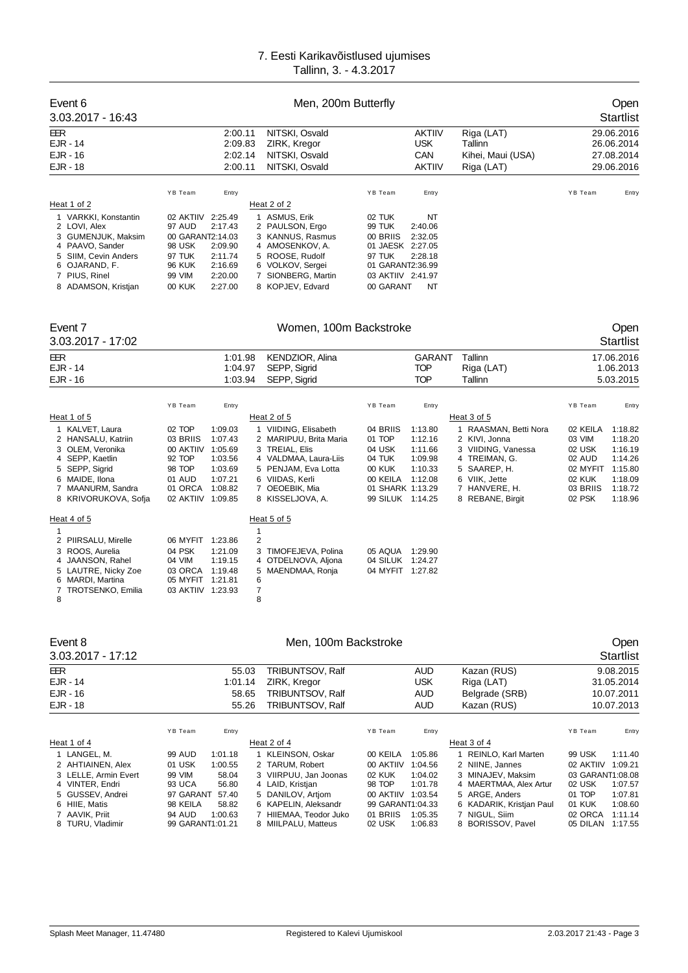| Event 6                               | Men, 200m Butterfly        |                    |  |                                     |                            |                    |                   | Open             |            |
|---------------------------------------|----------------------------|--------------------|--|-------------------------------------|----------------------------|--------------------|-------------------|------------------|------------|
| $3.03.2017 - 16.43$                   |                            |                    |  |                                     |                            |                    |                   | <b>Startlist</b> |            |
| EER                                   |                            | 2:00.11            |  | NITSKI, Osvald                      |                            | <b>AKTIIV</b>      | Riga (LAT)        |                  | 29.06.2016 |
| $EJR - 14$                            |                            | 2:09.83            |  | ZIRK, Kregor                        |                            | <b>USK</b>         | Tallinn           | 26.06.2014       |            |
| $EJR - 16$                            | 2:02.14                    |                    |  | NITSKI, Osvald                      |                            | CAN                | Kihei, Maui (USA) |                  | 27.08.2014 |
| $EJR - 18$                            |                            | 2:00.11            |  | NITSKI, Osvald                      |                            | <b>AKTIIV</b>      | Riga (LAT)        |                  | 29.06.2016 |
|                                       | YB Team                    | Entry              |  |                                     | YB Team                    | Entry              |                   | YB Team          | Entry      |
| Heat 1 of 2                           |                            |                    |  | Heat 2 of 2                         |                            |                    |                   |                  |            |
| 1 VARKKI, Konstantin<br>2 LOVI, Alex  | 02 AKTIIV<br>97 AUD        | 2:25.49<br>2:17.43 |  | 1 ASMUS, Erik<br>2 PAULSON, Ergo    | 02 TUK<br><b>99 TUK</b>    | NT<br>2:40.06      |                   |                  |            |
| 3 GUMENJUK, Maksim<br>4 PAAVO, Sander | 00 GARANT2:14.03<br>98 USK | 2:09.90            |  | 3 KANNUS, Rasmus<br>4 AMOSENKOV, A. | 00 BRIIS<br>01 JAESK       | 2:32.05<br>2:27.05 |                   |                  |            |
| 5 SIIM, Cevin Anders<br>6 OJARAND, F. | 97 TUK<br><b>96 KUK</b>    | 2:11.74<br>2:16.69 |  | 5 ROOSE, Rudolf<br>6 VOLKOV, Sergei | 97 TUK<br>01 GARANT2:36.99 | 2:28.18            |                   |                  |            |
| 7 PIUS, Rinel                         | 99 VIM                     | 2:20.00            |  | 7 SIONBERG, Martin                  | 03 AKTIIV 2:41.97          |                    |                   |                  |            |
| 8 ADAMSON, Kristian                   | <b>00 KUK</b>              | 2:27.00            |  | 8 KOPJEV, Edvard                    | 00 GARANT                  | NT                 |                   |                  |            |

## Event 7 Contract Terms of the United States of the Women, 100m Backstroke Contract Terms of the Open

|             | 3.03.2017 - 17:02                   |                     |                    |                |                                              |                    |                    |                                        |                    | <b>Startlist</b>   |
|-------------|-------------------------------------|---------------------|--------------------|----------------|----------------------------------------------|--------------------|--------------------|----------------------------------------|--------------------|--------------------|
| EER         |                                     |                     | 1:01.98            |                | KENDZIOR, Alina                              |                    | <b>GARANT</b>      | Tallinn                                |                    | 17.06.2016         |
| EJR - 14    |                                     |                     | 1:04.97            |                | SEPP, Sigrid                                 |                    | TOP                | Riga (LAT)                             |                    | 1.06.2013          |
| EJR - 16    |                                     |                     | 1:03.94            |                | SEPP, Sigrid                                 |                    | <b>TOP</b>         | Tallinn                                |                    | 5.03.2015          |
|             |                                     | YB Team             | Entry              |                |                                              | YB Team            | Entry              |                                        | YB Team            | Entry              |
| Heat 1 of 5 |                                     |                     |                    |                | Heat 2 of 5                                  |                    |                    | Heat 3 of 5                            |                    |                    |
|             | KALVET, Laura<br>2 HANSALU, Katriin | 02 TOP<br>03 BRIIS  | 1:09.03<br>1:07.43 |                | VIIDING, Elisabeth<br>2 MARIPUU, Brita Maria | 04 BRIIS<br>01 TOP | 1:13.80<br>1:12.16 | 1 RAASMAN, Betti Nora<br>2 KIVI, Jonna | 02 KEILA<br>03 VIM | 1:18.82<br>1:18.20 |
|             | 3 OLEM, Veronika<br>4 SEPP, Kaetlin | 00 AKTIIV<br>92 TOP | 1:05.69<br>1:03.56 |                | 3 TREIAL, Elis<br>4 VALDMAA, Laura-Liis      | 04 USK<br>04 TUK   | 1:11.66<br>1:09.98 | 3 VIIDING, Vanessa<br>4 TREIMAN, G.    | 02 USK<br>02 AUD   | 1:16.19<br>1:14.26 |
|             | 5 SEPP, Sigrid                      | 98 TOP              | 1:03.69            |                | 5 PENJAM, Eva Lotta                          | <b>00 KUK</b>      | 1:10.33            | 5 SAAREP, H.                           | 02 MYFIT           | 1:15.80            |
|             | 6 MAIDE, Ilona                      | 01 AUD              | 1:07.21            |                | 6 VIIDAS, Kerli                              | 00 KEILA           | 1:12.08            | 6 VIIK, Jette                          | <b>02 KUK</b>      | 1:18.09            |
|             | 7 MAANURM, Sandra                   | 01 ORCA             | 1:08.82            |                | 7 OEOEBIK, Mia                               | 01 SHARK 1:13.29   |                    | 7 HANVERE, H.                          | 03 BRIIS           | 1:18.72            |
|             | 8 KRIVORUKOVA, Sofja                | 02 AKTIIV           | 1:09.85            |                | 8 KISSELJOVA, A.                             | 99 SILUK 1:14.25   |                    | 8 REBANE, Birgit                       | 02 PSK             | 1:18.96            |
| Heat 4 of 5 |                                     |                     |                    |                | Heat 5 of 5                                  |                    |                    |                                        |                    |                    |
|             |                                     |                     |                    |                |                                              |                    |                    |                                        |                    |                    |
|             | 2 PIIRSALU, Mirelle                 | 06 MYFIT            | 1:23.86            | $\overline{2}$ |                                              |                    |                    |                                        |                    |                    |
|             | 3 ROOS, Aurelia                     | 04 PSK              | 1:21.09            | 3              | TIMOFEJEVA, Polina                           | 05 AQUA            | 1:29.90            |                                        |                    |                    |
|             | 4 JAANSON, Rahel                    | 04 VIM              | 1:19.15            |                | 4 OTDELNOVA, Aljona                          | 04 SILUK           | 1:24.27            |                                        |                    |                    |
|             | 5 LAUTRE, Nicky Zoe                 | 03 ORCA             | 1:19.48            |                | 5 MAENDMAA, Ronja                            | 04 MYFIT 1:27.82   |                    |                                        |                    |                    |
|             | 6 MARDI, Martina                    | 05 MYFIT            | 1:21.81            | 6              |                                              |                    |                    |                                        |                    |                    |
|             | 7 TROTSENKO, Emilia                 | 03 AKTIIV 1:23.93   |                    | $\overline{7}$ |                                              |                    |                    |                                        |                    |                    |
| 8           |                                     |                     |                    | 8              |                                              |                    |                    |                                        |                    |                    |

| Event 8<br>$3.03.2017 - 17:12$        |                                  | Men. 100m Backstroke    |                      |                          | Open<br><b>Startlist</b> |  |
|---------------------------------------|----------------------------------|-------------------------|----------------------|--------------------------|--------------------------|--|
| EER                                   | 55.03                            | <b>TRIBUNTSOV, Ralf</b> | AUD.                 | Kazan (RUS)              | 9.08.2015                |  |
| $EJR - 14$<br>ZIRK, Kregor<br>1:01.14 |                                  |                         | <b>USK</b>           | Riga (LAT)               | 31.05.2014               |  |
| $EJR - 16$                            | <b>TRIBUNTSOV, Ralf</b><br>58.65 |                         | <b>AUD</b>           | Belgrade (SRB)           | 10.07.2011               |  |
| $EJR - 18$                            | 55.26                            | TRIBUNTSOV, Ralf        | <b>AUD</b>           | Kazan (RUS)              | 10.07.2013               |  |
|                                       | YB Team<br>Entry                 |                         | YB Team<br>Entry     |                          | YB Team<br>Entry         |  |
| Heat 1 of 4                           |                                  | Heat 2 of 4             |                      | Heat 3 of 4              |                          |  |
| 1 LANGEL, M.                          | 99 AUD<br>1:01.18                | 1 KLEINSON, Oskar       | 00 KEILA<br>1:05.86  | 1 REINLO, Karl Marten    | 1:11.40<br>99 USK        |  |
| 2 AHTIAINEN, Alex                     | 01 USK<br>1:00.55                | 2 TARUM, Robert         | 00 AKTIIV<br>1:04.56 | 2 NIINE, Jannes          | 1:09.21<br>02 AKTIIV     |  |
| 3 LELLE, Armin Evert                  | 99 VIM<br>58.04                  | 3 VIIRPUU, Jan Joonas   | 02 KUK<br>1:04.02    | 3 MINAJEV, Maksim        | 03 GARANT1:08.08         |  |
| 4 VINTER, Endri                       | 93 UCA<br>56.80                  | 4 LAID, Kristian        | 98 TOP<br>1:01.78    | 4 MAERTMAA, Alex Artur   | 02 USK<br>1:07.57        |  |
| 5 GUSSEV, Andrei                      | 97 GARANT<br>57.40               | 5 DANILOV. Artiom       | 00 AKTIIV<br>1:03.54 | 5 ARGE, Anders           | 01 TOP<br>1:07.81        |  |
| 6 HIIE, Matis                         | 98 KEILA<br>58.82                | 6 KAPELIN, Aleksandr    | 99 GARANT1:04.33     | 6 KADARIK, Kristjan Paul | 01 KUK<br>1:08.60        |  |
| 7 AAVIK, Priit                        | <b>94 AUD</b><br>1:00.63         | 7 HIIEMAA, Teodor Juko  | 01 BRIIS<br>1:05.35  | 7 NIGUL, Siim            | 02 ORCA<br>1:11.14       |  |
| 8 TURU, Vladimir                      | 99 GARANT1:01.21                 | 8 MIILPALU, Matteus     | 02 USK<br>1:06.83    | 8 BORISSOV, Pavel        | 05 DILAN<br>1:17.55      |  |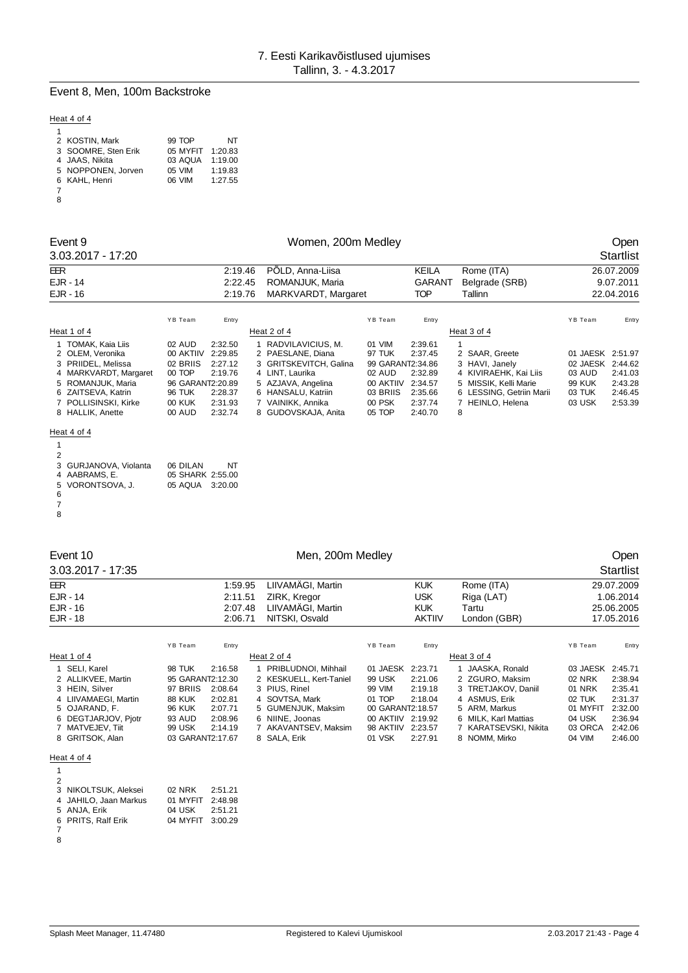## Event 8, Men, 100m Backstroke

### Heat 4 of 4

| $\overline{1}$ |                     |          |         |
|----------------|---------------------|----------|---------|
|                | 2 KOSTIN, Mark      | 99 TOP   | NT      |
|                | 3 SOOMRE, Sten Erik | 05 MYFIT | 1:20.83 |
|                | 4 JAAS, Nikita      | 03 AQUA  | 1:19.00 |
|                | 5 NOPPONEN, Jorven  | 05 VIM   | 1:19.83 |
|                | 6 KAHL, Henri       | 06 VIM   | 1:27.55 |
| 7              |                     |          |         |
|                |                     |          |         |

| Event 9<br>$3.03.2017 - 17:20$ |                  |         | Women, 200m Medley     |                  |               |                          |               | Open<br><b>Startlist</b> |
|--------------------------------|------------------|---------|------------------------|------------------|---------------|--------------------------|---------------|--------------------------|
| EER                            |                  | 2:19.46 | POLD, Anna-Liisa       |                  | KEILA         | Rome (ITA)               |               | 26.07.2009               |
| $EJR - 14$                     |                  | 2:22.45 | ROMANJUK, Maria        |                  | <b>GARANT</b> | Belgrade (SRB)           |               | 9.07.2011                |
| $EJR - 16$                     |                  | 2:19.76 | MARKVARDT, Margaret    |                  | <b>TOP</b>    | Tallinn                  |               | 22.04.2016               |
|                                | YB Team          | Entry   |                        | YB Team          | Entry         |                          | YB Team       | Entry                    |
| Heat 1 of 4                    |                  |         | Heat 2 of 4            |                  |               | Heat 3 of 4              |               |                          |
| 1 TOMAK, Kaia Liis             | 02 AUD           | 2:32.50 | RADVILAVICIUS, M.      | 01 VIM           | 2:39.61       |                          |               |                          |
| 2 OLEM, Veronika               | 00 AKTIIV        | 2:29.85 | 2 PAESLANE, Diana      | 97 TUK           | 2:37.45       | 2 SAAR, Greete           | 01 JAESK      | 2:51.97                  |
| 3 PRIIDEL, Melissa             | 02 BRIIS         | 2:27.12 | 3 GRITSKEVITCH, Galina | 99 GARANT2:34.86 |               | 3 HAVI. Janely           | 02 JAESK      | 2:44.62                  |
| 4 MARKVARDT, Margaret          | 00 TOP           | 2:19.76 | 4 LINT, Laurika        | 02 AUD           | 2:32.89       | 4 KIVIRAEHK, Kai Liis    | 03 AUD        | 2:41.03                  |
| 5 ROMANJUK, Maria              | 96 GARANT2:20.89 |         | 5 AZJAVA, Angelina     | 00 AKTIIV        | 2:34.57       | 5 MISSIK, Kelli Marie    | <b>99 KUK</b> | 2:43.28                  |
| 6 ZAITSEVA, Katrin             | <b>96 TUK</b>    | 2:28.37 | 6 HANSALU, Katriin     | 03 BRIIS         | 2:35.66       | 6 LESSING, Getriin Marii | 03 TUK        | 2:46.45                  |
| 7 POLLISINSKI, Kirke           | <b>00 KUK</b>    | 2:31.93 | 7 VAINIKK, Annika      | 00 PSK           | 2:37.74       | 7 HEINLO, Helena         | 03 USK        | 2:53.39                  |
| 8 HALLIK, Anette               | 00 AUD           | 2:32.74 | 8 GUDOVSKAJA, Anita    | 05 TOP           | 2:40.70       | 8                        |               |                          |

### Heat 4 of 4

| 2 |                       |                  |    |
|---|-----------------------|------------------|----|
|   | 3 GURJANOVA, Violanta | 06 DILAN         | NT |
|   | 4 AABRAMS, E.         | 05 SHARK 2:55.00 |    |
|   | 5 VORONTSOVA. J.      | 05 AQUA 3:20.00  |    |
| 6 |                       |                  |    |
| 7 |                       |                  |    |
| 8 |                       |                  |    |

## Event 10 Communication of Men, 200m Medley Communication of the Communication of Men, 200m Medley

| $3.03.2017 - 17:35$ |         |                           |               |              | <b>Startlist</b> |
|---------------------|---------|---------------------------|---------------|--------------|------------------|
| EER                 |         | 1:59.95 LIIVAMÄGI. Martin | <b>KUK</b>    | Rome (ITA)   | 29.07.2009       |
| $EJR - 14$          |         | 2:11.51 ZIRK, Kregor      | USK           | Riga (LAT)   | 1.06.2014        |
| $EJR - 16$          |         | 2:07.48 LIIVAMÄGI, Martin | <b>KUK</b>    | Tartu        | 25.06.2005       |
| $EJR - 18$          | 2:06.71 | NITSKI, Osvald            | <b>AKTIIV</b> | London (GBR) | 17.05.2016       |
|                     |         |                           |               |              |                  |

|                      | YB Team          | Entry   |                         | YB Team           | Entrv   |                       | YB Team          | Entry   |
|----------------------|------------------|---------|-------------------------|-------------------|---------|-----------------------|------------------|---------|
| Heat 1 of 4          |                  |         | Heat 2 of 4             |                   |         | Heat 3 of 4           |                  |         |
| 1 SELI, Karel        | <b>98 TUK</b>    | 2:16.58 | PRIBLUDNOI, Mihhail     | 01 JAESK 2:23.71  |         | JAASKA. Ronald        | 03 JAESK 2:45.71 |         |
| 2 ALLIKVEE, Martin   | 95 GARANT2:12.30 |         | 2 KESKUELL, Kert-Taniel | 99 USK            | 2:21.06 | 2 ZGURO, Maksim       | 02 NRK           | 2:38.94 |
| 3 HEIN, Silver       | 97 BRIIS         | 2:08.64 | 3 PIUS, Rinel           | 99 VIM            | 2:19.18 | 3 TRETJAKOV, Daniil   | 01 NRK           | 2:35.41 |
| 4 LIIVAMAEGI, Martin | 88 KUK           | 2:02.81 | 4 SOVTSA, Mark          | 01 TOP            | 2:18.04 | 4 ASMUS, Erik         | 02 TUK           | 2:31.37 |
| 5 OJARAND, F.        | <b>96 KUK</b>    | 2:07.71 | 5 GUMENJUK, Maksim      | 00 GARANT2:18.57  |         | 5 ARM. Markus         | 01 MYFIT         | 2:32.00 |
| 6 DEGTJARJOV, Pjotr  | 93 AUD           | 2:08.96 | 6 NIINE, Joonas         | 00 AKTIIV 2:19.92 |         | 6 MILK. Karl Mattias  | 04 USK           | 2:36.94 |
| 7 MATVEJEV, Tiit     | 99 USK           | 2:14.19 | 7 AKAVANTSEV, Maksim    | 98 AKTIIV 2:23.57 |         | 7 KARATSEVSKI, Nikita | 03 ORCA          | 2:42.06 |
| 8 GRITSOK, Alan      | 03 GARANT2:17.67 |         | 8 SALA, Erik            | 01 VSK            | 2:27.91 | 8 NOMM, Mirko         | 04 VIM           | 2:46.00 |
|                      |                  |         |                         |                   |         |                       |                  |         |

### Heat 4 of 4

| 2 |                       |                  |         |
|---|-----------------------|------------------|---------|
|   | 3 NIKOLTSUK, Aleksei  | 02 NRK           | 2:51.21 |
|   | 4 JAHILO, Jaan Markus | 01 MYFIT         | 2:48.98 |
|   | 5 ANJA, Erik          | 04 USK           | 2:51.21 |
|   | 6 PRITS, Ralf Erik    | 04 MYFIT 3:00.29 |         |
|   |                       |                  |         |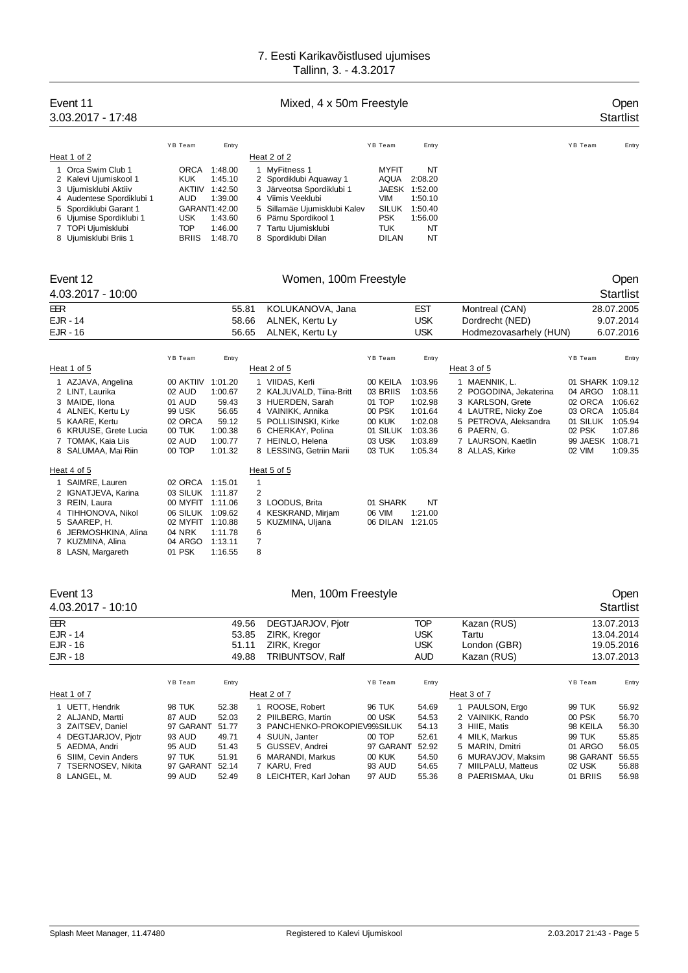| Event 11<br>3.03.2017 - 17:48                                                                                                                                                                                       | Mixed, 4 x 50m Freestyle                                                                    |                                                                                                     |                                                                                                                                                                                                                 |                                                                                    |                                                                                                   |                                                                                                                                           |                                                                                                                                                    |
|---------------------------------------------------------------------------------------------------------------------------------------------------------------------------------------------------------------------|---------------------------------------------------------------------------------------------|-----------------------------------------------------------------------------------------------------|-----------------------------------------------------------------------------------------------------------------------------------------------------------------------------------------------------------------|------------------------------------------------------------------------------------|---------------------------------------------------------------------------------------------------|-------------------------------------------------------------------------------------------------------------------------------------------|----------------------------------------------------------------------------------------------------------------------------------------------------|
| Heat 1 of 2<br>1 Orca Swim Club 1<br>2 Kalevi Ujumiskool 1<br>3 Ujumisklubi Aktiiv<br>4 Audentese Spordiklubi 1<br>5 Spordiklubi Garant 1<br>6 Ujumise Spordiklubi 1<br>7 TOPi Ujumisklubi<br>8 Ujumisklubi Briis 1 | YB Team<br>ORCA<br><b>KUK</b><br><b>AKTIIV</b><br>AUD<br>USK.<br><b>TOP</b><br><b>BRIIS</b> | Entry<br>1:48.00<br>1:45.10<br>1:42.50<br>1:39.00<br>GARANT1:42.00<br>1:43.60<br>1:46.00<br>1:48.70 | Heat 2 of 2<br>1 MyFitness 1<br>2 Spordiklubi Aquaway 1<br>3 Järveotsa Spordiklubi 1<br>4 Viimis Veeklubi<br>5 Sillamäe Ujumisklubi Kalev<br>6 Pärnu Spordikool 1<br>7 Tartu Ujumisklubi<br>8 Spordiklubi Dilan | YB Team<br><b>MYFIT</b><br>AQUA<br>VIM<br><b>PSK</b><br><b>TUK</b><br><b>DILAN</b> | Entry<br>NT<br>2:08.20<br>JAESK 1:52.00<br>1:50.10<br>SILUK 1:50.40<br>1:56.00<br>NT<br><b>NT</b> |                                                                                                                                           | YB Team<br>Entry                                                                                                                                   |
| Event 12<br>4.03.2017 - 10:00                                                                                                                                                                                       |                                                                                             |                                                                                                     | Women, 100m Freestyle                                                                                                                                                                                           |                                                                                    |                                                                                                   |                                                                                                                                           | Open<br><b>Startlist</b>                                                                                                                           |
| EER<br><b>EJR - 14</b><br>$EJR - 16$                                                                                                                                                                                |                                                                                             | 55.81<br>58.66<br>56.65                                                                             | KOLUKANOVA, Jana<br>ALNEK, Kertu Ly<br>ALNEK, Kertu Ly                                                                                                                                                          |                                                                                    | <b>EST</b><br><b>USK</b><br><b>USK</b>                                                            | Montreal (CAN)<br>Dordrecht (NED)<br>Hodmezovasarhely (HUN)                                                                               | 28.07.2005<br>9.07.2014<br>6.07.2016                                                                                                               |
| Heat 1 of 5<br>1 AZJAVA, Angelina<br>2 LINT, Laurika<br>3 MAIDE, Ilona<br>4 ALNEK, Kertu Ly<br>5 KAARE, Kertu<br>6 KRUUSE, Grete Lucia                                                                              | YB Team<br>00 AKTIIV<br>02 AUD<br>01 AUD<br>99 USK<br>02 ORCA<br>00 TUK                     | Entry<br>1:01.20<br>1:00.67<br>59.43<br>56.65<br>59.12<br>1:00.38                                   | Heat 2 of 5<br>1 VIIDAS, Kerli<br>2 KALJUVALD, Tiina-Britt<br>3 HUERDEN, Sarah<br>4 VAINIKK, Annika<br>5 POLLISINSKI, Kirke<br>6 CHERKAY, Polina                                                                | YB Team<br>00 KEILA<br>03 BRIIS<br>01 TOP<br>00 PSK<br><b>00 KUK</b><br>01 SILUK   | Entry<br>1:03.96<br>1:03.56<br>1:02.98<br>1:01.64<br>1:02.08<br>1:03.36                           | Heat 3 of 5<br>1 MAENNIK, L.<br>2 POGODINA, Jekaterina<br>3 KARLSON, Grete<br>4 LAUTRE, Nicky Zoe<br>5 PETROVA, Aleksandra<br>6 PAERN, G. | YB Team<br>Entry<br>01 SHARK 1:09.12<br>04 ARGO<br>1:08.11<br>02 ORCA<br>1:06.62<br>03 ORCA<br>1:05.84<br>01 SILUK<br>1:05.94<br>02 PSK<br>1:07.86 |
| 7 TOMAK, Kaia Liis<br>8 SALUMAA, Mai Riin<br>Heat 4 of 5                                                                                                                                                            | 02 AUD<br>00 TOP                                                                            | 1:00.77<br>1:01.32                                                                                  | 7 HEINLO, Helena<br>8 LESSING, Getriin Marii<br>Heat 5 of 5                                                                                                                                                     | 03 USK<br>03 TUK                                                                   | 1:03.89<br>1:05.34                                                                                | 7 LAURSON, Kaetlin<br>8 ALLAS, Kirke                                                                                                      | 99 JAESK<br>1:08.71<br>02 VIM<br>1:09.35                                                                                                           |
| 1 SAIMRE, Lauren<br>2 IGNATJEVA, Karina<br>3 REIN, Laura<br>4 TIHHONOVA, Nikol<br>5 SAAREP, H.<br>6 JERMOSHKINA, Alina<br>7 KUZMINA, Alina<br>8 LASN, Margareth                                                     | 02 ORCA<br>03 SILUK<br>00 MYFIT<br>06 SILUK<br>02 MYFIT<br>04 NRK<br>04 ARGO<br>01 PSK      | 1:15.01<br>1:11.87<br>1:11.06<br>1:09.62<br>1:10.88<br>1:11.78<br>1:13.11<br>1:16.55                | 1<br>$\overline{2}$<br>3 LOODUS, Brita<br>4 KESKRAND, Mirjam<br>5 KUZMINA, Uljana<br>6<br>7<br>8                                                                                                                | 01 SHARK<br>06 VIM<br>06 DILAN 1:21.05                                             | NT<br>1:21.00                                                                                     |                                                                                                                                           |                                                                                                                                                    |

| Event 13<br>4.03.2017 - 10:10                                                                                                                                    |                                                                                                  |                                                                      |  | Men, 100m Freestyle                                                                                                                                                         |                                                                                     |                                                                      |                                                                                                                                                            |                                                                                             | Open<br><b>Startlist</b>                                             |
|------------------------------------------------------------------------------------------------------------------------------------------------------------------|--------------------------------------------------------------------------------------------------|----------------------------------------------------------------------|--|-----------------------------------------------------------------------------------------------------------------------------------------------------------------------------|-------------------------------------------------------------------------------------|----------------------------------------------------------------------|------------------------------------------------------------------------------------------------------------------------------------------------------------|---------------------------------------------------------------------------------------------|----------------------------------------------------------------------|
| EER<br>$EJR - 14$<br>$EJR - 16$                                                                                                                                  |                                                                                                  | 49.56<br>53.85<br>51.11                                              |  | DEGTJARJOV, Pjotr<br>ZIRK, Kregor<br>ZIRK, Kregor                                                                                                                           |                                                                                     | <b>TOP</b><br>USK<br><b>USK</b>                                      | Kazan (RUS)<br>Tartu<br>London (GBR)                                                                                                                       |                                                                                             | 13.07.2013<br>13.04.2014<br>19.05.2016                               |
| $EJR - 18$                                                                                                                                                       |                                                                                                  | 49.88                                                                |  | TRIBUNTSOV, Ralf                                                                                                                                                            |                                                                                     | <b>AUD</b>                                                           | Kazan (RUS)                                                                                                                                                |                                                                                             | 13.07.2013                                                           |
|                                                                                                                                                                  | YB Team                                                                                          | Entry                                                                |  |                                                                                                                                                                             | YB Team                                                                             | Entry                                                                |                                                                                                                                                            | YB Team                                                                                     | Entry                                                                |
| Heat 1 of 7                                                                                                                                                      |                                                                                                  |                                                                      |  | Heat 2 of 7                                                                                                                                                                 |                                                                                     |                                                                      | Heat 3 of 7                                                                                                                                                |                                                                                             |                                                                      |
| 1 UETT, Hendrik<br>2 ALJAND, Martti<br>3 ZAITSEV, Daniel<br>4 DEGTJARJOV, Piotr<br>5 AEDMA, Andri<br>6 SIIM, Cevin Anders<br>7 TSERNOSEV, Nikita<br>8 LANGEL, M. | <b>98 TUK</b><br>87 AUD<br>97 GARANT<br>93 AUD<br><b>95 AUD</b><br>97 TUK<br>97 GARANT<br>99 AUD | 52.38<br>52.03<br>51.77<br>49.71<br>51.43<br>51.91<br>52.14<br>52.49 |  | 1 ROOSE, Robert<br>2 PIILBERG, Martin<br>3 PANCHENKO-PROKOPIEV993SILUK<br>4 SUUN, Janter<br>5 GUSSEV, Andrei<br>6 MARANDI, Markus<br>7 KARU, Fred<br>8 LEICHTER, Karl Johan | <b>96 TUK</b><br>00 USK<br>00 TOP<br>97 GARANT<br><b>00 KUK</b><br>93 AUD<br>97 AUD | 54.69<br>54.53<br>54.13<br>52.61<br>52.92<br>54.50<br>54.65<br>55.36 | 1 PAULSON, Ergo<br>2 VAINIKK, Rando<br>3 HIIE, Matis<br>4 MILK, Markus<br>5 MARIN, Dmitri<br>6 MURAVJOV, Maksim<br>7 MIILPALU, Matteus<br>8 PAERISMAA, Uku | <b>99 TUK</b><br>00 PSK<br>98 KEILA<br>99 TUK<br>01 ARGO<br>98 GARANT<br>02 USK<br>01 BRIIS | 56.92<br>56.70<br>56.30<br>55.85<br>56.05<br>56.55<br>56.88<br>56.98 |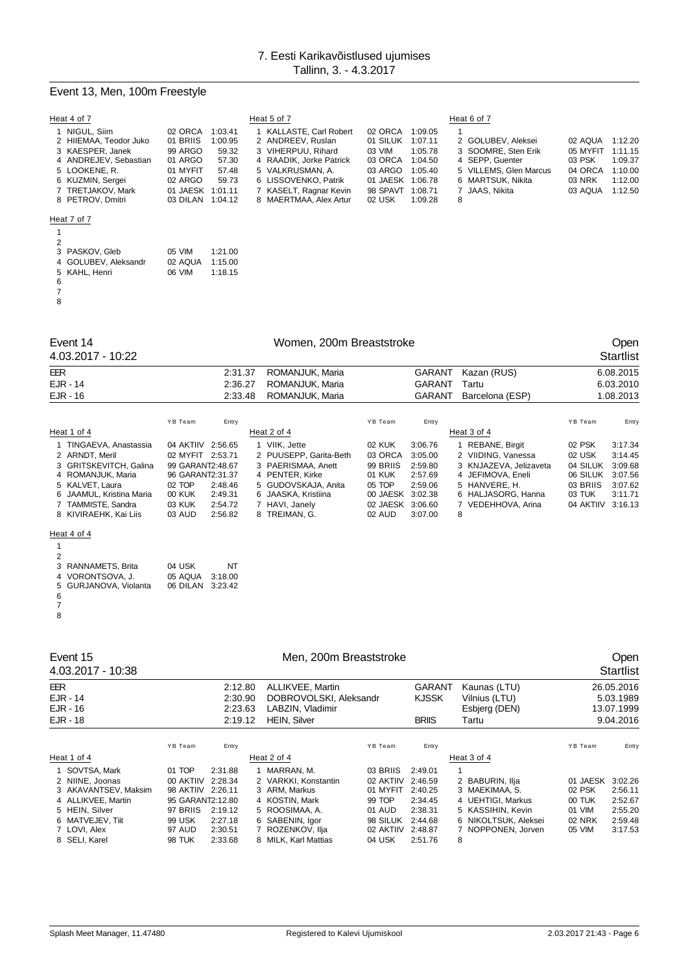## Event 13, Men, 100m Freestyle

| Heat 4 of 7            |                  |         | Heat 5 of 7             |                  |         | Heat 6 of 7            |          |         |
|------------------------|------------------|---------|-------------------------|------------------|---------|------------------------|----------|---------|
| 1 NIGUL, Siim          | 02 ORCA          | 1:03.41 | KALLASTE. Carl Robert   | 02 ORCA          | 1:09.05 |                        |          |         |
| 2 HIIEMAA, Teodor Juko | 01 BRIIS         | 1:00.95 | 2 ANDREEV, Ruslan       | 01 SILUK         | 1:07.11 | 2 GOLUBEV, Aleksei     | 02 AQUA  | 1:12.20 |
| 3 KAESPER, Janek       | 99 ARGO          | 59.32   | 3 VIHERPUU, Rihard      | 03 VIM           | 1:05.78 | 3 SOOMRE, Sten Erik    | 05 MYFIT | 1:11.15 |
| 4 ANDREJEV, Sebastian  | 01 ARGO          | 57.30   | 4 RAADIK, Jorke Patrick | 03 ORCA          | 1:04.50 | 4 SEPP, Guenter        | 03 PSK   | 1:09.37 |
| 5 LOOKENE, R.          | 01 MYFIT         | 57.48   | 5 VALKRUSMAN, A.        | 03 ARGO          | 1:05.40 | 5 VILLEMS, Glen Marcus | 04 ORCA  | 1:10.00 |
| 6 KUZMIN, Sergei       | 02 ARGO          | 59.73   | 6 LISSOVENKO, Patrik    | 01 JAESK 1:06.78 |         | 6 MARTSUK, Nikita      | 03 NRK   | 1:12.00 |
| 7 TRETJAKOV, Mark      | 01 JAESK         | 1:01.11 | 7 KASELT, Ragnar Kevin  | 98 SPAVT         | 1:08.71 | 7 JAAS, Nikita         | 03 AQUA  | 1:12.50 |
| 8 PETROV, Dmitri       | 03 DILAN 1:04.12 |         | 8 MAERTMAA, Alex Artur  | 02 USK           | 1:09.28 | 8                      |          |         |
| .                      |                  |         |                         |                  |         |                        |          |         |

### Heat 7 of 7

| $\mathfrak{p}$ |                      |         |         |
|----------------|----------------------|---------|---------|
|                | 3 PASKOV, Gleb       | 05 VIM  | 1:21.00 |
|                | 4 GOLUBEV, Aleksandr | 02 AQUA | 1:15.00 |
|                | 5 KAHL, Henri        | 06 VIM  | 1:18.15 |
| 6              |                      |         |         |
|                |                      |         |         |
| 8              |                      |         |         |

# Event 14 Deen Consumers 200m Breaststroke Consumers 200m Breaststroke Consumers 200m Breaststroke Consumers 200m Breaststroke Consumers 200m Breaststroke Consumers 200m Breaststroke Consumers 200m Breaststroke Consumers 20

| 4.03.2017 - 10:22 |                         |              |                        | Startlist |
|-------------------|-------------------------|--------------|------------------------|-----------|
| EER               | 2:31.37 ROMANJUK, Maria |              | GARANT Kazan (RUS)     | 6.08.2015 |
| $EJR - 14$        | 2:36.27 ROMANJUK, Maria | GARANT Tartu |                        | 6.03.2010 |
| $EJR - 16$        | 2:33.48 ROMANJUK, Maria |              | GARANT Barcelona (ESP) | 1.08.2013 |
|                   |                         |              |                        |           |

|                          | YB Team           | Entry   |                        | YB Team          | Entry   |                        | YB Team           | Entry   |
|--------------------------|-------------------|---------|------------------------|------------------|---------|------------------------|-------------------|---------|
| Heat 1 of 4              |                   |         | Heat 2 of 4            |                  |         | Heat 3 of 4            |                   |         |
| TINGAEVA, Anastassia     | 04 AKTIIV 2:56.65 |         | VIIK. Jette            | 02 KUK           | 3:06.76 | REBANE, Birgit         | 02 PSK            | 3:17.34 |
| 2 ARNDT, Meril           | 02 MYFIT 2:53.71  |         | 2 PUUSEPP, Garita-Beth | 03 ORCA          | 3:05.00 | 2 VIIDING, Vanessa     | 02 USK            | 3:14.45 |
| 3 GRITSKEVITCH, Galina   | 99 GARANT2:48.67  |         | 3 PAERISMAA, Anett     | 99 BRIIS         | 2:59.80 | 3 KNJAZEVA, Jelizaveta | 04 SILUK          | 3:09.68 |
| 4 ROMANJUK, Maria        | 96 GARANT2:31.37  |         | 4 PENTER, Kirke        | 01 KUK           | 2:57.69 | 4 JEFIMOVA, Eneli      | 06 SILUK          | 3:07.56 |
| 5 KALVET, Laura          | 02 TOP            | 2:48.46 | 5 GUDOVSKAJA, Anita    | 05 TOP           | 2:59.06 | 5 HANVERE, H.          | 03 BRIIS          | 3:07.62 |
| 6 JAAMUL, Kristina Maria | <b>00 KUK</b>     | 2:49.31 | 6 JAASKA, Kristiina    | 00 JAESK 3:02.38 |         | 6 HALJASORG, Hanna     | 03 TUK            | 3:11.71 |
| 7 TAMMISTE, Sandra       | 03 KUK            | 2:54.72 | HAVI. Janelv           | 02 JAESK 3:06.60 |         | 7 VEDEHHOVA, Arina     | 04 AKTIIV 3:16.13 |         |
| 8 KIVIRAEHK, Kai Liis    | 03 AUD            | 2:56.82 | 8 TREIMAN, G.          | 02 AUD           | 3:07.00 | 8                      |                   |         |
|                          |                   |         |                        |                  |         |                        |                   |         |

### Heat 4 of 4

| 2 |                       |          |         |
|---|-----------------------|----------|---------|
|   | 3 RANNAMETS, Brita    | 04 USK   | NT      |
|   | 4 VORONTSOVA. J.      | 05 AQUA  | 3:18.00 |
|   | 5 GURJANOVA, Violanta | 06 DILAN | 3:23.42 |
| 6 |                       |          |         |
|   |                       |          |         |
| 8 |                       |          |         |

## Event 15 Communication of Men, 200m Breaststroke Communication of the Open

| 4.03.2017 - 10:38    |                  |         |                        |           |               |                      |          | <b>Startlist</b> |
|----------------------|------------------|---------|------------------------|-----------|---------------|----------------------|----------|------------------|
| EER                  |                  | 2:12.80 | ALLIKVEE, Martin       |           | <b>GARANT</b> | Kaunas (LTU)         |          | 26.05.2016       |
| EJR - 14             |                  | 2:30.90 | DOBROVOLSKI, Aleksandr |           | <b>KJSSK</b>  | Vilnius (LTU)        |          | 5.03.1989        |
| EJR - 16             |                  | 2:23.63 | LABZIN. Vladimir       |           |               | Esbjerg (DEN)        |          | 13.07.1999       |
| EJR - 18             |                  | 2:19.12 | <b>HEIN, Silver</b>    |           | <b>BRIIS</b>  | Tartu                |          | 9.04.2016        |
|                      | YB Team          | Entry   |                        | YB Team   | Entry         |                      | YB Team  | Entry            |
| Heat 1 of 4          |                  |         | Heat 2 of 4            |           |               | Heat 3 of 4          |          |                  |
| 1 SOVTSA, Mark       | 01 TOP           | 2:31.88 | 1 MARRAN, M.           | 03 BRIIS  | 2:49.01       |                      |          |                  |
| 2 NIINE, Joonas      | 00 AKTIIV        | 2:28.34 | 2 VARKKI, Konstantin   | 02 AKTIIV | 2:46.59       | 2 BABURIN, Ilja      | 01 JAESK | 3:02.26          |
| 3 AKAVANTSEV, Maksim | 98 AKTIIV        | 2:26.11 | 3 ARM, Markus          | 01 MYFIT  | 2:40.25       | 3 MAEKIMAA, S.       | 02 PSK   | 2:56.11          |
| 4 ALLIKVEE, Martin   | 95 GARANT2:12.80 |         | 4 KOSTIN, Mark         | 99 TOP    | 2:34.45       | 4 UEHTIGI. Markus    | 00 TUK   | 2:52.67          |
| 5 HEIN, Silver       | 97 BRIIS         | 2:19.12 | 5 ROOSIMAA, A.         | 01 AUD    | 2:38.31       | 5 KASSIHIN, Kevin    | 01 VIM   | 2:55.20          |
| 6 MATVEJEV, Tiit     | 99 USK           | 2:27.18 | 6 SABENIN, Igor        | 98 SILUK  | 2:44.68       | 6 NIKOLTSUK, Aleksei | 02 NRK   | 2:59.48          |
| 7 LOVI, Alex         | 97 AUD           | 2:30.51 | 7 ROZENKOV, Ilja       | 02 AKTIIV | 2:48.87       | 7 NOPPONEN, Jorven   | 05 VIM   | 3:17.53          |
| 8 SELI, Karel        | <b>98 TUK</b>    | 2:33.68 | 8 MILK, Karl Mattias   | 04 USK    | 2:51.76       | 8                    |          |                  |
|                      |                  |         |                        |           |               |                      |          |                  |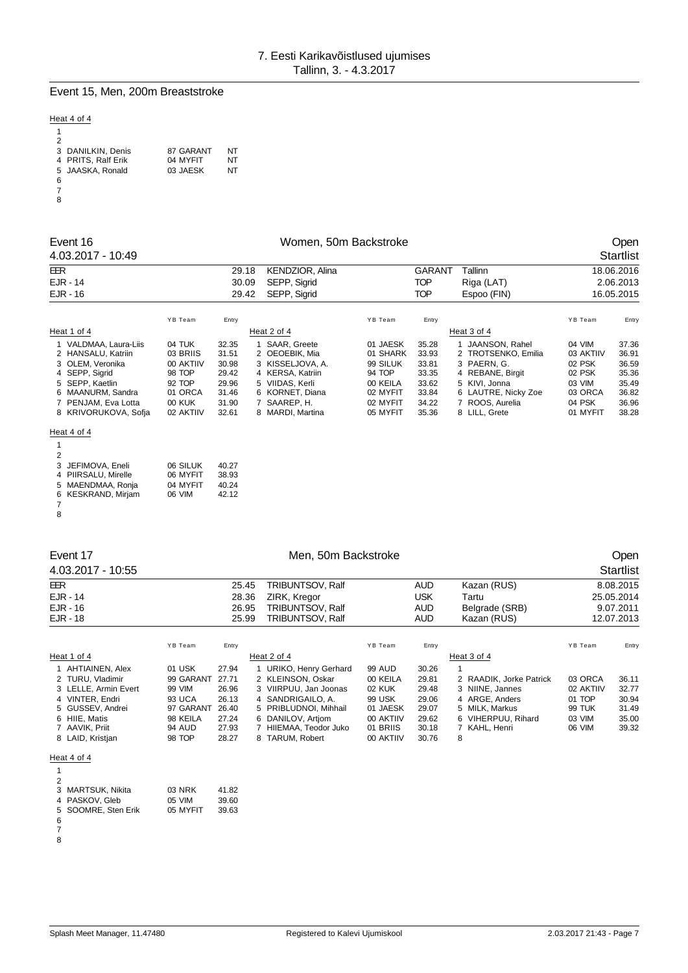## Event 15, Men, 200m Breaststroke

### Heat 4 of 4

| 1                  |           |    |
|--------------------|-----------|----|
| $\overline{2}$     |           |    |
| 3 DANILKIN, Denis  | 87 GARANT | NT |
| 4 PRITS, Ralf Erik | 04 MYFIT  | NT |
| 5 JAASKA, Ronald   | 03 JAESK  | NT |
| 6                  |           |    |
|                    |           |    |
| 8                  |           |    |

| Event 16<br>4.03.2017 - 10:49                                                                                                                                          |                                                                                              |                                                                      | Open<br>Startlist                                                                                                                               |                                                                                            |                                                                      |                                                                                                                                                      |                                                                                    |                                                                      |
|------------------------------------------------------------------------------------------------------------------------------------------------------------------------|----------------------------------------------------------------------------------------------|----------------------------------------------------------------------|-------------------------------------------------------------------------------------------------------------------------------------------------|--------------------------------------------------------------------------------------------|----------------------------------------------------------------------|------------------------------------------------------------------------------------------------------------------------------------------------------|------------------------------------------------------------------------------------|----------------------------------------------------------------------|
| EER                                                                                                                                                                    |                                                                                              | 29.18                                                                | KENDZIOR, Alina                                                                                                                                 |                                                                                            | <b>GARANT</b>                                                        | 18.06.2016                                                                                                                                           |                                                                                    |                                                                      |
| $EJR - 14$<br>$EJR - 16$                                                                                                                                               |                                                                                              | 30.09<br>29.42                                                       | SEPP, Sigrid<br>SEPP, Sigrid                                                                                                                    |                                                                                            | TOP<br>TOP                                                           | Riga (LAT)<br>Espoo (FIN)                                                                                                                            | 2.06.2013<br>16.05.2015                                                            |                                                                      |
|                                                                                                                                                                        | YB Team                                                                                      | Entry                                                                |                                                                                                                                                 | YB Team                                                                                    | Entry                                                                |                                                                                                                                                      | YB Team                                                                            | Entry                                                                |
| Heat 1 of 4                                                                                                                                                            |                                                                                              |                                                                      | Heat 2 of 4                                                                                                                                     |                                                                                            |                                                                      | Heat 3 of 4                                                                                                                                          |                                                                                    |                                                                      |
| VALDMAA, Laura-Liis<br>2 HANSALU, Katriin<br>3 OLEM. Veronika<br>4 SEPP, Sigrid<br>5 SEPP, Kaetlin<br>6 MAANURM, Sandra<br>7 PENJAM, Eva Lotta<br>8 KRIVORUKOVA, Sofja | 04 TUK<br>03 BRIIS<br>00 AKTIIV<br>98 TOP<br>92 TOP<br>01 ORCA<br><b>00 KUK</b><br>02 AKTIIV | 32.35<br>31.51<br>30.98<br>29.42<br>29.96<br>31.46<br>31.90<br>32.61 | SAAR, Greete<br>2 OEOEBIK, Mia<br>3 KISSELJOVA, A.<br>4 KERSA, Katriin<br>5 VIIDAS, Kerli<br>6 KORNET, Diana<br>7 SAAREP.H.<br>8 MARDI, Martina | 01 JAESK<br>01 SHARK<br>99 SILUK<br>94 TOP<br>00 KEILA<br>02 MYFIT<br>02 MYFIT<br>05 MYFIT | 35.28<br>33.93<br>33.81<br>33.35<br>33.62<br>33.84<br>34.22<br>35.36 | JAANSON, Rahel<br>2 TROTSENKO, Emilia<br>3 PAERN. G.<br>4 REBANE, Birgit<br>5 KIVI, Jonna<br>6 LAUTRE, Nicky Zoe<br>7 ROOS, Aurelia<br>8 LILL. Grete | 04 VIM<br>03 AKTIIV<br>02 PSK<br>02 PSK<br>03 VIM<br>03 ORCA<br>04 PSK<br>01 MYFIT | 37.36<br>36.91<br>36.59<br>35.36<br>35.49<br>36.82<br>36.96<br>38.28 |

### Heat 4 of 4

| 2 |                     |          |       |
|---|---------------------|----------|-------|
|   | 3 JEFIMOVA, Eneli   | 06 SILUK | 40.27 |
|   | 4 PIIRSALU, Mirelle | 06 MYFIT | 38.93 |
|   | 5 MAENDMAA, Ronja   | 04 MYFIT | 40.24 |
|   | 6 KESKRAND, Mirjam  | 06 VIM   | 42.12 |
| 7 |                     |          |       |
| 8 |                     |          |       |

| Event 17          | Men, 50m Backstroke |       |                         |         |            |                             |         | Open             |
|-------------------|---------------------|-------|-------------------------|---------|------------|-----------------------------|---------|------------------|
| 4.03.2017 - 10:55 |                     |       |                         |         |            |                             |         | <b>Startlist</b> |
| EER               |                     | 25.45 | TRIBUNTSOV, Ralf        |         | <b>AUD</b> | Kazan (RUS)                 |         | 8.08.2015        |
| $EJR - 14$        |                     | 28.36 | ZIRK, Kregor            |         | USK        | Tartu                       |         | 25.05.2014       |
| $EJR - 16$        |                     | 26.95 | TRIBUNTSOV, Ralf        |         | <b>AUD</b> | Belgrade (SRB)              |         | 9.07.2011        |
| EJR - 18          |                     | 25.99 | <b>TRIBUNTSOV, Ralf</b> |         | <b>AUD</b> | Kazan (RUS)                 |         | 12.07.2013       |
|                   | YB Team             | Entry |                         | YB Team | Entry      |                             | YB Team | Entry            |
| $\Box$            |                     |       | $\Box$                  |         |            | $H_{00}$ + $2$ of $\Lambda$ |         |                  |

| Heat 1 of 4          |               |       | Heat 2 of 4           |           |       | Heat 3 of 4             |               |       |
|----------------------|---------------|-------|-----------------------|-----------|-------|-------------------------|---------------|-------|
| AHTIAINEN, Alex      | 01 USK        | 27.94 | URIKO, Henry Gerhard  | 99 AUD    | 30.26 |                         |               |       |
| 2 TURU, Vladimir     | 99 GARANT     | 27.71 | 2 KLEINSON, Oskar     | 00 KEILA  | 29.81 | 2 RAADIK, Jorke Patrick | 03 ORCA       | 36.11 |
| 3 LELLE, Armin Evert | 99 VIM        | 26.96 | 3 VIIRPUU, Jan Joonas | 02 KUK    | 29.48 | 3 NIINE, Jannes         | 02 AKTIIV     | 32.77 |
| 4 VINTER, Endri      | 93 UCA        | 26.13 | 4 SANDRIGAILO, A.     | 99 USK    | 29.06 | 4 ARGE, Anders          | 01 TOP        | 30.94 |
| 5 GUSSEV, Andrei     | 97 GARANT     | 26.40 | 5 PRIBLUDNOI, Mihhail | 01 JAESK  | 29.07 | 5 MILK, Markus          | <b>99 TUK</b> | 31.49 |
| 6 HIIE, Matis        | 98 KEILA      | 27.24 | 6 DANILOV, Artiom     | 00 AKTIIV | 29.62 | 6 VIHERPUU, Rihard      | 03 VIM        | 35.00 |
| 7 AAVIK, Priit       | <b>94 AUD</b> | 27.93 | HIIEMAA. Teodor Juko  | 01 BRIIS  | 30.18 | 7 KAHL, Henri           | 06 VIM        | 39.32 |
| 8 LAID, Kristjan     | 98 TOP        | 28.27 | 8 TARUM, Robert       | 00 AKTIIV | 30.76 | 8                       |               |       |

### Heat 4 of 4

| 2 |                     |          |       |
|---|---------------------|----------|-------|
|   | 3 MARTSUK, Nikita   | 03 NRK   | 41.82 |
|   | 4 PASKOV, Gleb      | 05 VIM   | 39.60 |
|   | 5 SOOMRE. Sten Erik | 05 MYFIT | 39.63 |
| 6 |                     |          |       |
|   |                     |          |       |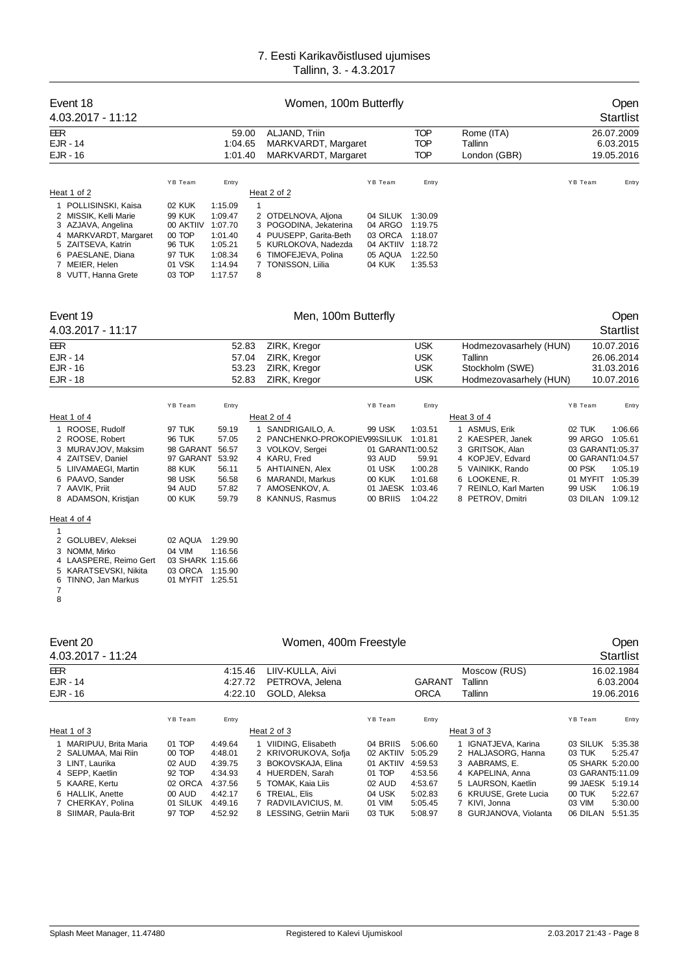| Event 18<br>4.03.2017 - 11:12                                                                                                                                                    |                                                                                                                      |                                                                                      |                   | Women, 100m Butterfly                                                                                                                                                                  |                                                                                                 |                                                              |                                                                                                                                                                           |                                                                                                               | Open<br><b>Startlist</b>                             |
|----------------------------------------------------------------------------------------------------------------------------------------------------------------------------------|----------------------------------------------------------------------------------------------------------------------|--------------------------------------------------------------------------------------|-------------------|----------------------------------------------------------------------------------------------------------------------------------------------------------------------------------------|-------------------------------------------------------------------------------------------------|--------------------------------------------------------------|---------------------------------------------------------------------------------------------------------------------------------------------------------------------------|---------------------------------------------------------------------------------------------------------------|------------------------------------------------------|
| EER<br><b>EJR - 14</b><br>EJR - 16                                                                                                                                               |                                                                                                                      | 59.00<br>1:04.65<br>1:01.40                                                          |                   | ALJAND, Triin<br>MARKVARDT, Margaret<br>MARKVARDT, Margaret                                                                                                                            |                                                                                                 | TOP<br>TOP<br><b>TOP</b>                                     | Rome (ITA)<br>Tallinn<br>London (GBR)                                                                                                                                     |                                                                                                               | 26.07.2009<br>6.03.2015<br>19.05.2016                |
| Heat 1 of 2                                                                                                                                                                      | YB Team                                                                                                              | Entry                                                                                |                   | Heat 2 of 2                                                                                                                                                                            | YB Team                                                                                         | Entry                                                        |                                                                                                                                                                           | YB Team                                                                                                       | Entry                                                |
| 1 POLLISINSKI, Kaisa<br>2 MISSIK, Kelli Marie<br>3 AZJAVA, Angelina<br>4 MARKVARDT, Margaret<br>5 ZAITSEVA, Katrin<br>6 PAESLANE, Diana<br>7 MEIER, Helen<br>8 VUTT, Hanna Grete | 02 KUK<br><b>99 KUK</b><br>00 AKTIIV<br>00 TOP<br><b>96 TUK</b><br>97 TUK<br>01 VSK<br>03 TOP                        | 1:15.09<br>1:09.47<br>1:07.70<br>1:01.40<br>1:05.21<br>1:08.34<br>1:14.94<br>1:17.57 | $\mathbf{1}$<br>8 | 2 OTDELNOVA, Aljona<br>3 POGODINA, Jekaterina<br>4 PUUSEPP, Garita-Beth<br>5 KURLOKOVA, Nadezda<br>6 TIMOFEJEVA, Polina<br>7 TONISSON, Liilia                                          | 04 SILUK 1:30.09<br>04 ARGO<br>03 ORCA<br>04 AKTIIV 1:18.72<br>05 AQUA<br>04 KUK                | 1:19.75<br>1:18.07<br>1:22.50<br>1:35.53                     |                                                                                                                                                                           |                                                                                                               |                                                      |
| Event 19<br>4.03.2017 - 11:17                                                                                                                                                    |                                                                                                                      |                                                                                      |                   | Men, 100m Butterfly                                                                                                                                                                    |                                                                                                 |                                                              |                                                                                                                                                                           |                                                                                                               | Open<br><b>Startlist</b>                             |
| EER<br>EJR - 14<br>EJR - 16<br>$EJR - 18$                                                                                                                                        |                                                                                                                      | 52.83<br>57.04<br>53.23<br>52.83                                                     |                   | ZIRK, Kregor<br>ZIRK, Kregor<br>ZIRK, Kregor<br>ZIRK, Kregor                                                                                                                           |                                                                                                 | <b>USK</b><br><b>USK</b><br><b>USK</b><br><b>USK</b>         | Hodmezovasarhely (HUN)<br>Tallinn<br>Stockholm (SWE)<br>Hodmezovasarhely (HUN)                                                                                            |                                                                                                               | 10.07.2016<br>26.06.2014<br>31.03.2016<br>10.07.2016 |
|                                                                                                                                                                                  | YB Team                                                                                                              | Entry                                                                                |                   |                                                                                                                                                                                        | YB Team                                                                                         | Entry                                                        |                                                                                                                                                                           | YB Team                                                                                                       | Entry                                                |
| Heat 1 of 4<br>1 ROOSE, Rudolf<br>2 ROOSE, Robert<br>3 MURAVJOV, Maksim<br>4 ZAITSEV, Daniel<br>5 LIIVAMAEGI, Martin<br>6 PAAVO, Sander<br>7 AAVIK, Priit<br>8 ADAMSON, Kristjan | 97 TUK<br><b>96 TUK</b><br>98 GARANT<br>97 GARANT 53.92<br><b>88 KUK</b><br>98 USK<br><b>94 AUD</b><br><b>00 KUK</b> | 59.19<br>57.05<br>56.57<br>56.11<br>56.58<br>57.82<br>59.79                          |                   | Heat 2 of 4<br>1 SANDRIGAILO, A.<br>2 PANCHENKO-PROKOPIEV993SILUK<br>3 VOLKOV, Sergei<br>4 KARU, Fred<br>5 AHTIAINEN, Alex<br>6 MARANDI, Markus<br>7 AMOSENKOV, A.<br>8 KANNUS, Rasmus | 99 USK<br>01 GARANT1:00.52<br>93 AUD<br>01 USK<br><b>00 KUK</b><br>01 JAESK 1:03.46<br>00 BRIIS | 1:03.51<br>1:01.81<br>59.91<br>1:00.28<br>1:01.68<br>1:04.22 | Heat 3 of 4<br>1 ASMUS, Erik<br>2 KAESPER, Janek<br>3 GRITSOK, Alan<br>4 KOPJEV, Edvard<br>5 VAINIKK, Rando<br>6 LOOKENE, R.<br>7 REINLO, Karl Marten<br>8 PETROV, Dmitri | 02 TUK<br>99 ARGO<br>03 GARANT1:05.37<br>00 GARANT1:04.57<br>00 PSK<br>01 MYFIT<br>99 USK<br>03 DILAN 1:09.12 | 1:06.66<br>1:05.61<br>1:05.19<br>1:05.39<br>1:06.19  |
| Heat 4 of 4<br>1<br>2 GOLUBEV, Aleksei<br>3 NOMM, Mirko<br>4 LAASPERE, Reimo Gert<br>5 KARATSEVSKI, Nikita<br>6 TINNO, Jan Markus<br>7<br>8                                      | 02 AQUA<br>04 VIM<br>03 SHARK 1:15.66<br>03 ORCA 1:15.90<br>01 MYFIT 1:25.51                                         | 1:29.90<br>1:16.56                                                                   |                   |                                                                                                                                                                                        |                                                                                                 |                                                              |                                                                                                                                                                           |                                                                                                               |                                                      |
| Event 20<br>4.03.2017 - 11:24                                                                                                                                                    |                                                                                                                      |                                                                                      |                   | Women, 400m Freestyle                                                                                                                                                                  |                                                                                                 |                                                              |                                                                                                                                                                           |                                                                                                               | Open<br><b>Startlist</b>                             |
| EER<br><b>EJR - 14</b><br>EJR - 16                                                                                                                                               |                                                                                                                      | 4:15.46<br>4:27.72<br>4:22.10                                                        |                   | LIIV-KULLA, Aivi<br>PETROVA, Jelena<br>GOLD, Aleksa                                                                                                                                    |                                                                                                 | GARANT<br><b>ORCA</b>                                        | Moscow (RUS)<br>Tallinn<br>Tallinn                                                                                                                                        |                                                                                                               | 16.02.1984<br>6.03.2004<br>19.06.2016                |
|                                                                                                                                                                                  | YB Team                                                                                                              | Entry                                                                                |                   |                                                                                                                                                                                        | YB Team                                                                                         | Entry                                                        |                                                                                                                                                                           | YB Team                                                                                                       | Entry                                                |
| Heat 1 of 3<br>1 MARIPUU, Brita Maria                                                                                                                                            | 01 TOP                                                                                                               | 4:49.64                                                                              |                   | Heat 2 of 3<br>1 VIIDING, Elisabeth                                                                                                                                                    | 04 BRIIS                                                                                        | 5:06.60                                                      | Heat 3 of 3<br>1 IGNATJEVA, Karina                                                                                                                                        | 03 SILUK 5:35.38                                                                                              |                                                      |

| 2 SALUMAA, Mai Riin  | 00 TOP           | 4:48.01 | 2 KRIVORUKOVA, Sofja     | 02 AKTIIV 5:05.29 |         | 2 HALJASORG, Hanna    | 03 TUK   | 5:25.47          |
|----------------------|------------------|---------|--------------------------|-------------------|---------|-----------------------|----------|------------------|
| 3 LINT, Laurika      | 02 AUD           | 4:39.75 | 3 BOKOVSKAJA, Elina      | 01 AKTIIV         | 4:59.53 | 3 AABRAMS.E.          |          | 05 SHARK 5:20.00 |
| 4 SEPP. Kaetlin      | 92 TOP           | 4:34.93 | 4 HUERDEN, Sarah         | 01 TOP            | 4:53.56 | 4 KAPELINA, Anna      |          | 03 GARANT5:11.09 |
| 5 KAARE, Kertu       | 02 ORCA          | 4:37.56 | 5 TOMAK. Kaia Liis       | 02 AUD            | 4:53.67 | 5 LAURSON, Kaetlin    |          | 99 JAESK 5:19.14 |
| 6 HALLIK, Anette     | 00 AUD           | 4:42.17 | 6 TREIAL, Elis           | 04 USK            | 5:02.83 | 6 KRUUSE, Grete Lucia | 00 TUK   | 5:22.67          |
| 7 CHERKAY, Polina    | 01 SILUK 4:49.16 |         | 7 RADVILAVICIUS, M.      | 01 VIM            | 5:05.45 | 7 KIVI. Jonna         | 03 VIM   | 5:30.00          |
| 8 SIIMAR, Paula-Brit | 97 TOP           | 4:52.92 | 8 LESSING, Getriin Marii | 03 TUK            | 5:08.97 | 8 GURJANOVA, Violanta | 06 DILAN | 5:51.35          |
|                      |                  |         |                          |                   |         |                       |          |                  |
|                      |                  |         |                          |                   |         |                       |          |                  |
|                      |                  |         |                          |                   |         |                       |          |                  |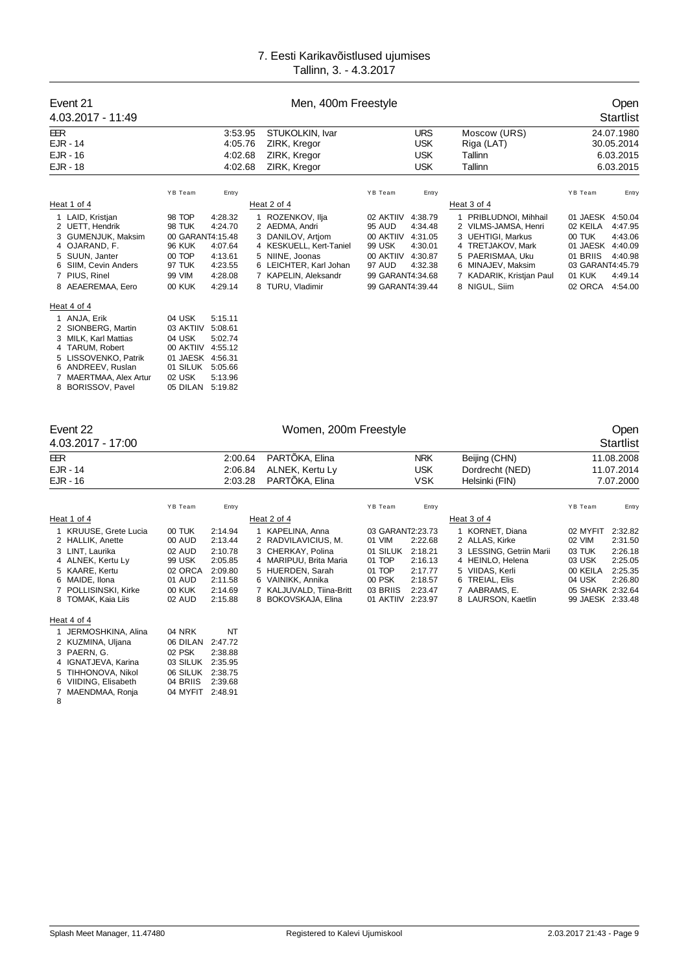| Event 21<br>4.03.2017 - 11:49       |                         |                    | Men, 400m Freestyle                |                            |                    |                                             |                              | <b>Open</b><br><b>Startlist</b> |
|-------------------------------------|-------------------------|--------------------|------------------------------------|----------------------------|--------------------|---------------------------------------------|------------------------------|---------------------------------|
| EER                                 |                         | 3:53.95            | STUKOLKIN, Ivar                    |                            | <b>URS</b>         | Moscow (URS)                                |                              | 24.07.1980                      |
| $EJR - 14$                          |                         | 4:05.76            | ZIRK, Kregor                       |                            | <b>USK</b>         | Riga (LAT)                                  |                              | 30.05.2014                      |
| $EJR - 16$                          |                         | 4:02.68            | ZIRK, Kregor                       |                            | <b>USK</b>         | Tallinn                                     |                              | 6.03.2015                       |
| EJR - 18                            |                         | 4:02.68            | ZIRK, Kregor                       |                            | <b>USK</b>         | Tallinn                                     |                              | 6.03.2015                       |
|                                     | YB Team                 | Entry              |                                    | YB Team                    | Entry              |                                             | YB Team                      | Entry                           |
| Heat 1 of 4                         |                         |                    | Heat 2 of 4                        |                            |                    | Heat 3 of 4                                 |                              |                                 |
| 1 LAID, Kristjan<br>2 UETT, Hendrik | 98 TOP<br><b>98 TUK</b> | 4:28.32<br>4:24.70 | 1 ROZENKOV, Ilja<br>2 AEDMA, Andri | 02 AKTIIV<br><b>95 AUD</b> | 4:38.79<br>4:34.48 | PRIBLUDNOI, Mihhail<br>2 VILMS-JAMSA, Henri | 01 JAESK 4:50.04<br>02 KEILA | 4:47.95                         |
| 3 GUMENJUK, Maksim                  | 00 GARANT4:15.48        |                    | 3 DANILOV, Artiom                  | 00 AKTIIV                  | 4:31.05            | 3 UEHTIGI, Markus                           | 00 TUK                       | 4:43.06                         |
| 4 OJARAND, F.                       | <b>96 KUK</b>           | 4:07.64            | 4 KESKUELL, Kert-Taniel            | 99 USK                     | 4:30.01            | 4 TRETJAKOV, Mark                           | 01 JAESK 4:40.09             |                                 |
| 5 SUUN, Janter                      | 00 TOP                  | 4:13.61            | 5 NIINE, Joonas                    | 00 AKTIIV                  | 4:30.87            | 5 PAERISMAA, Uku                            | 01 BRIIS                     | 4:40.98                         |
| 6 SIIM, Cevin Anders                | 97 TUK                  | 4:23.55            | 6 LEICHTER, Karl Johan             | 97 AUD                     | 4:32.38            | 6 MINAJEV, Maksim                           | 03 GARANT4:45.79             |                                 |
| PIUS, Rinel<br>7                    | 99 VIM                  | 4:28.08            | 7 KAPELIN, Aleksandr               | 99 GARANT4:34.68           |                    | 7 KADARIK, Kristjan Paul                    | 01 KUK                       | 4:49.14                         |
| 8 AEAEREMAA, Eero                   | <b>00 KUK</b>           | 4:29.14            | 8 TURU, Vladimir                   | 99 GARANT4:39.44           |                    | 8 NIGUL, Siim                               | 02 ORCA                      | 4:54.00                         |
| Heat 4 of 4                         |                         |                    |                                    |                            |                    |                                             |                              |                                 |
| 1 ANJA, Erik                        | 04 USK                  | 5:15.11            |                                    |                            |                    |                                             |                              |                                 |
| 2 SIONBERG, Martin                  | 03 AKTIIV               | 5:08.61            |                                    |                            |                    |                                             |                              |                                 |
| 3 MILK, Karl Mattias                | 04 USK                  | 5:02.74            |                                    |                            |                    |                                             |                              |                                 |
| 4 TARUM, Robert                     | 00 AKTIIV               | 4:55.12            |                                    |                            |                    |                                             |                              |                                 |
| 5 LISSOVENKO, Patrik                | 01 JAESK 4:56.31        |                    |                                    |                            |                    |                                             |                              |                                 |

| Event 22<br>4.03.2017 - 17:00                                                                                                                                        |                                                                                      | Women, 200m Freestyle                                                                |                                                                                                                                                                                    |                                                                                               |                                                                           |                                                                                                                                                               |                                                                                                      | Open<br><b>Startlist</b>                                       |
|----------------------------------------------------------------------------------------------------------------------------------------------------------------------|--------------------------------------------------------------------------------------|--------------------------------------------------------------------------------------|------------------------------------------------------------------------------------------------------------------------------------------------------------------------------------|-----------------------------------------------------------------------------------------------|---------------------------------------------------------------------------|---------------------------------------------------------------------------------------------------------------------------------------------------------------|------------------------------------------------------------------------------------------------------|----------------------------------------------------------------|
| EER<br>$EJR - 14$<br>$EJR - 16$                                                                                                                                      | PARTÖKA, Elina<br>2:00.64<br>2:06.84<br>ALNEK, Kertu Ly<br>PARTÕKA, Elina<br>2:03.28 |                                                                                      |                                                                                                                                                                                    | <b>NRK</b><br><b>USK</b><br><b>VSK</b>                                                        | Beijing (CHN)<br>Dordrecht (NED)<br>Helsinki (FIN)                        | 11.08.2008<br>11.07.2014<br>7.07.2000                                                                                                                         |                                                                                                      |                                                                |
| Heat 1 of 4                                                                                                                                                          | YB Team                                                                              | Entry                                                                                | Heat 2 of 4                                                                                                                                                                        | YB Team                                                                                       | Entry                                                                     | Heat 3 of 4                                                                                                                                                   | YB Team                                                                                              | Entry                                                          |
| 1 KRUUSE, Grete Lucia<br>2 HALLIK, Anette<br>3 LINT, Laurika<br>4 ALNEK, Kertu Ly<br>5 KAARE, Kertu<br>6 MAIDE, Ilona<br>POLLISINSKI, Kirke<br>TOMAK, Kaia Liis<br>8 | 00 TUK<br>00 AUD<br>02 AUD<br>99 USK<br>02 ORCA<br>01 AUD<br><b>00 KUK</b><br>02 AUD | 2:14.94<br>2:13.44<br>2:10.78<br>2:05.85<br>2:09.80<br>2:11.58<br>2:14.69<br>2:15.88 | 1 KAPELINA, Anna<br>2 RADVILAVICIUS, M.<br>3 CHERKAY, Polina<br>4 MARIPUU, Brita Maria<br>5 HUERDEN, Sarah<br>6 VAINIKK, Annika<br>7 KALJUVALD, Tiina-Britt<br>8 BOKOVSKAJA, Elina | 03 GARANT2:23.73<br>01 VIM<br>01 SILUK<br>01 TOP<br>01 TOP<br>00 PSK<br>03 BRIIS<br>01 AKTIIV | 2:22.68<br>2:18.21<br>2:16.13<br>2:17.77<br>2:18.57<br>2:23.47<br>2:23.97 | 1 KORNET, Diana<br>2 ALLAS, Kirke<br>3 LESSING, Getriin Marii<br>4 HEINLO, Helena<br>5 VIIDAS, Kerli<br>6 TREIAL, Elis<br>7 AABRAMS. E.<br>8 LAURSON, Kaetlin | 02 MYFIT<br>02 VIM<br>03 TUK<br>03 USK<br>00 KEILA<br>04 USK<br>05 SHARK 2:32.64<br>99 JAESK 2:33.48 | 2:32.82<br>2:31.50<br>2:26.18<br>2:25.05<br>2:25.35<br>2:26.80 |
| Heat 4 of 4                                                                                                                                                          |                                                                                      |                                                                                      |                                                                                                                                                                                    |                                                                                               |                                                                           |                                                                                                                                                               |                                                                                                      |                                                                |

| 1 JERMOSHKINA, Alina | 04 NRK   | NT      |
|----------------------|----------|---------|
| 2 KUZMINA, Uljana    | 06 DILAN | 2:47.72 |
| 3 PAERN, G.          | 02 PSK   | 2:38.88 |
| 4 IGNATJEVA, Karina  | 03 SILUK | 2:35.95 |
| 5 TIHHONOVA, Nikol   | 06 SILUK | 2:38.75 |
| 6 VIIDING, Elisabeth | 04 BRIIS | 2:39.68 |
| 7 MAENDMAA, Ronja    | 04 MYFIT | 2:48.91 |
|                      |          |         |

6 ANDREEV, Ruslan 01 SILUK 5:05.66 7 MAERTMAA, Alex Artur 02 USK 5:13.96 8 BORISSOV, Pavel 05 DILAN 5:19.82

 $\frac{1}{8}$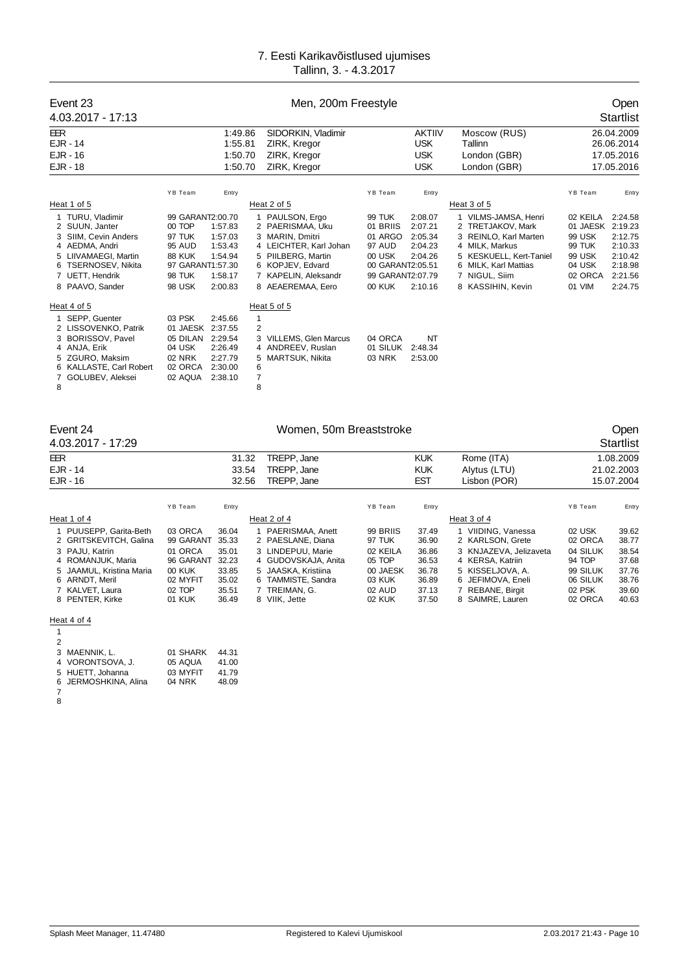| Event 23<br>4.03.2017 - 17:13                                                                                                                                                         |                                                                                                                       |                                                                           | Men, 200m Freestyle                                                                                                                                                     |                                                                                                                   |                                                                |                                                                                                                                                                             |                                                                                                 | Open<br><b>Startlist</b>                                                             |
|---------------------------------------------------------------------------------------------------------------------------------------------------------------------------------------|-----------------------------------------------------------------------------------------------------------------------|---------------------------------------------------------------------------|-------------------------------------------------------------------------------------------------------------------------------------------------------------------------|-------------------------------------------------------------------------------------------------------------------|----------------------------------------------------------------|-----------------------------------------------------------------------------------------------------------------------------------------------------------------------------|-------------------------------------------------------------------------------------------------|--------------------------------------------------------------------------------------|
| <b>EER</b><br>EJR - 14                                                                                                                                                                |                                                                                                                       | 1:49.86<br>1:55.81                                                        | SIDORKIN, Vladimir<br>ZIRK, Kregor                                                                                                                                      |                                                                                                                   | <b>AKTIIV</b><br><b>USK</b>                                    | Moscow (RUS)<br>Tallinn                                                                                                                                                     |                                                                                                 | 26.04.2009<br>26.06.2014                                                             |
| $EJR - 16$                                                                                                                                                                            |                                                                                                                       | 1:50.70                                                                   | ZIRK, Kregor                                                                                                                                                            |                                                                                                                   | <b>USK</b>                                                     | London (GBR)                                                                                                                                                                |                                                                                                 | 17.05.2016                                                                           |
| $EJR - 18$                                                                                                                                                                            |                                                                                                                       | 1:50.70                                                                   | ZIRK, Kregor                                                                                                                                                            |                                                                                                                   | <b>USK</b>                                                     | London (GBR)                                                                                                                                                                |                                                                                                 | 17.05.2016                                                                           |
|                                                                                                                                                                                       | YB Team                                                                                                               | Entry                                                                     |                                                                                                                                                                         | YB Team                                                                                                           | Entry                                                          |                                                                                                                                                                             | YB Team                                                                                         | Entry                                                                                |
| Heat 1 of 5                                                                                                                                                                           |                                                                                                                       |                                                                           | Heat 2 of 5                                                                                                                                                             |                                                                                                                   |                                                                | Heat 3 of 5                                                                                                                                                                 |                                                                                                 |                                                                                      |
| 1 TURU. Vladimir<br>2 SUUN, Janter<br>3 SIIM. Cevin Anders<br>4 AEDMA, Andri<br>5 LIIVAMAEGI, Martin<br><b>TSERNOSEV, Nikita</b><br>6<br><b>UETT, Hendrik</b><br>7<br>8 PAAVO, Sander | 99 GARANT2:00.70<br>00 TOP<br>97 TUK<br><b>95 AUD</b><br>88 KUK<br>97 GARANT1:57.30<br><b>98 TUK</b><br><b>98 USK</b> | 1:57.83<br>1:57.03<br>1:53.43<br>1:54.94<br>1:58.17<br>2:00.83            | 1 PAULSON, Ergo<br>2 PAERISMAA, Uku<br>3 MARIN, Dmitri<br>4 LEICHTER, Karl Johan<br>5 PIILBERG, Martin<br>6 KOPJEV, Edvard<br>7 KAPELIN, Aleksandr<br>8 AEAEREMAA, Eero | <b>99 TUK</b><br>01 BRIIS<br>01 ARGO<br>97 AUD<br>00 USK<br>00 GARANT2:05.51<br>99 GARANT2:07.79<br><b>00 KUK</b> | 2:08.07<br>2:07.21<br>2:05.34<br>2:04.23<br>2:04.26<br>2:10.16 | VILMS-JAMSA, Henri<br>2 TRETJAKOV, Mark<br>3 REINLO, Karl Marten<br>4 MILK, Markus<br>5 KESKUELL. Kert-Taniel<br>6 MILK, Karl Mattias<br>7 NIGUL, Siim<br>8 KASSIHIN, Kevin | 02 KEILA<br>01 JAESK<br><b>99 USK</b><br><b>99 TUK</b><br>99 USK<br>04 USK<br>02 ORCA<br>01 VIM | 2:24.58<br>2:19.23<br>2:12.75<br>2:10.33<br>2:10.42<br>2:18.98<br>2:21.56<br>2:24.75 |
| Heat 4 of 5                                                                                                                                                                           |                                                                                                                       |                                                                           | Heat 5 of 5                                                                                                                                                             |                                                                                                                   |                                                                |                                                                                                                                                                             |                                                                                                 |                                                                                      |
| 1 SEPP. Guenter<br>2 LISSOVENKO, Patrik<br>BORISSOV, Pavel<br>4 ANJA, Erik<br>5 ZGURO, Maksim<br>6 KALLASTE, Carl Robert<br>GOLUBEV, Aleksei<br>7<br>8                                | 03 PSK<br>01 JAESK<br>05 DILAN<br>04 USK<br><b>02 NRK</b><br>02 ORCA<br>02 AQUA                                       | 2:45.66<br>2:37.55<br>2:29.54<br>2:26.49<br>2:27.79<br>2:30.00<br>2:38.10 | $\mathbf{1}$<br>2<br>3 VILLEMS, Glen Marcus<br>4 ANDREEV, Ruslan<br>5 MARTSUK, Nikita<br>6<br>7<br>8                                                                    | 04 ORCA<br>01 SILUK<br>03 NRK                                                                                     | <b>NT</b><br>2:48.34<br>2:53.00                                |                                                                                                                                                                             |                                                                                                 |                                                                                      |

| Event 24<br>4.03.2017 - 17:29 |               |       | Women, 50m Breaststroke |          |            |                        |          | Open<br><b>Startlist</b> |
|-------------------------------|---------------|-------|-------------------------|----------|------------|------------------------|----------|--------------------------|
| <b>EER</b>                    |               | 31.32 | TREPP, Jane             |          | <b>KUK</b> | Rome (ITA)             |          | 1.08.2009                |
| $EJR - 14$                    |               | 33.54 | TREPP. Jane             |          | <b>KUK</b> | Alytus (LTU)           |          | 21.02.2003               |
| $EJR - 16$                    |               | 32.56 | TREPP, Jane             |          | <b>EST</b> | Lisbon (POR)           |          | 15.07.2004               |
|                               | YB Team       | Entry |                         | YB Team  | Entry      |                        | YB Team  | Entry                    |
| Heat 1 of 4                   |               |       | Heat 2 of 4             |          |            | Heat 3 of 4            |          |                          |
| 1 PUUSEPP, Garita-Beth        | 03 ORCA       | 36.04 | PAERISMAA, Anett        | 99 BRIIS | 37.49      | VIIDING, Vanessa       | 02 USK   | 39.62                    |
| 2 GRITSKEVITCH, Galina        | 99 GARANT     | 35.33 | 2 PAESLANE, Diana       | 97 TUK   | 36.90      | 2 KARLSON, Grete       | 02 ORCA  | 38.77                    |
| 3 PAJU, Katrin                | 01 ORCA       | 35.01 | 3 LINDEPUU, Marie       | 02 KEILA | 36.86      | 3 KNJAZEVA, Jelizaveta | 04 SILUK | 38.54                    |
| 4 ROMANJUK, Maria             | 96 GARANT     | 32.23 | 4 GUDOVSKAJA, Anita     | 05 TOP   | 36.53      | 4 KERSA, Katriin       | 94 TOP   | 37.68                    |
| 5 JAAMUL, Kristina Maria      | <b>00 KUK</b> | 33.85 | 5 JAASKA, Kristiina     | 00 JAESK | 36.78      | 5 KISSELJOVA, A.       | 99 SILUK | 37.76                    |
| 6 ARNDT, Meril                | 02 MYFIT      | 35.02 | 6 TAMMISTE, Sandra      | 03 KUK   | 36.89      | 6 JEFIMOVA, Eneli      | 06 SILUK | 38.76                    |
| 7 KALVET, Laura               | 02 TOP        | 35.51 | 7 TREIMAN, G.           | 02 AUD   | 37.13      | 7 REBANE, Birgit       | 02 PSK   | 39.60                    |
| 8 PENTER, Kirke               | 01 KUK        | 36.49 | 8 VIIK, Jette           | 02 KUK   | 37.50      | 8 SAIMRE, Lauren       | 02 ORCA  | 40.63                    |

### Heat 4 of 4

| 2 |                      |          |       |
|---|----------------------|----------|-------|
|   | 3 MAENNIK, L.        | 01 SHARK | 44.31 |
|   | 4 VORONTSOVA. J.     | 05 AQUA  | 41.00 |
|   | 5 HUETT, Johanna     | 03 MYFIT | 41.79 |
|   | 6 JERMOSHKINA, Alina | 04 NRK   | 48.09 |
|   |                      |          |       |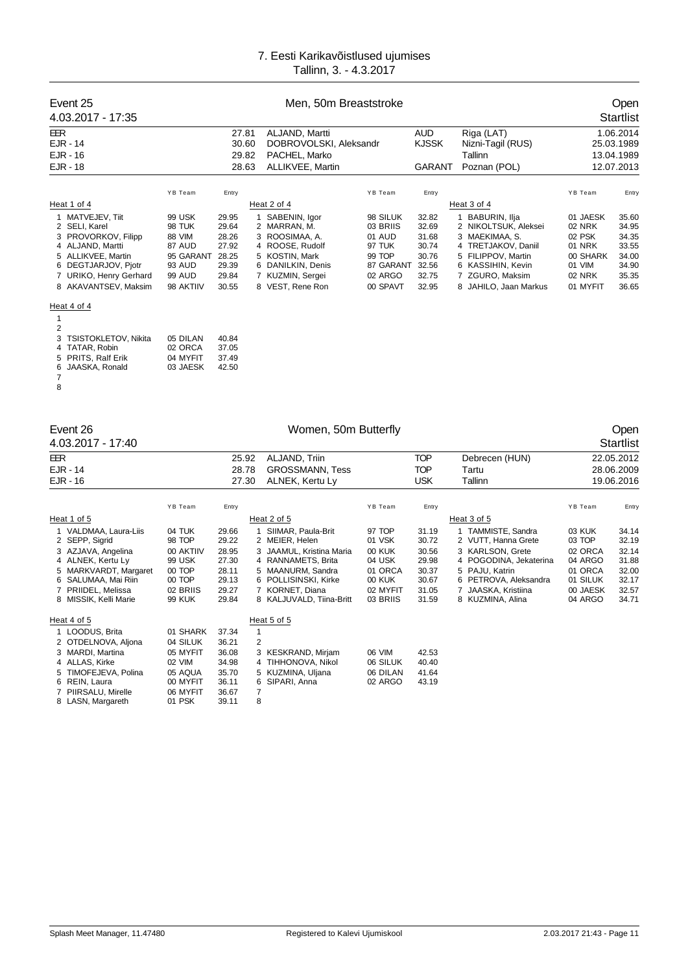| Event 25<br>4.03.2017 - 17:35                                                                                                                                                        |                                                                                          |                                                                      | Men, 50m Breaststroke                                                                                                                                                                |                                                                                          |                                                                      |                                                                                                                                                                               |                                                                                      | Open<br><b>Startlist</b>                                             |
|--------------------------------------------------------------------------------------------------------------------------------------------------------------------------------------|------------------------------------------------------------------------------------------|----------------------------------------------------------------------|--------------------------------------------------------------------------------------------------------------------------------------------------------------------------------------|------------------------------------------------------------------------------------------|----------------------------------------------------------------------|-------------------------------------------------------------------------------------------------------------------------------------------------------------------------------|--------------------------------------------------------------------------------------|----------------------------------------------------------------------|
| EER<br>EJR - 14<br>EJR - 16<br><b>EJR - 18</b>                                                                                                                                       |                                                                                          | 27.81<br>30.60<br>29.82<br>28.63                                     | ALJAND, Martti<br>DOBROVOLSKI, Aleksandr<br>PACHEL, Marko<br>ALLIKVEE, Martin                                                                                                        |                                                                                          | <b>AUD</b><br><b>KJSSK</b><br>GARANT                                 | Riga (LAT)<br>Nizni-Tagil (RUS)<br>Tallinn<br>Poznan (POL)                                                                                                                    |                                                                                      | 1.06.2014<br>25.03.1989<br>13.04.1989<br>12.07.2013                  |
|                                                                                                                                                                                      |                                                                                          |                                                                      |                                                                                                                                                                                      |                                                                                          |                                                                      |                                                                                                                                                                               |                                                                                      |                                                                      |
| Heat 1 of 4                                                                                                                                                                          | YB Team                                                                                  | Entry                                                                | Heat 2 of 4                                                                                                                                                                          | YB Team                                                                                  | Entry                                                                | Heat 3 of 4                                                                                                                                                                   | YB Team                                                                              | Entry                                                                |
| 1 MATVEJEV, Tiit<br>2 SELI, Karel<br>3 PROVORKOV, Filipp<br>4 ALJAND, Martti<br>5 ALLIKVEE, Martin<br>6 DEGTJARJOV, Pjotr<br>7 URIKO, Henry Gerhard<br>8 AKAVANTSEV, Maksim          | 99 USK<br>98 TUK<br>88 VIM<br>87 AUD<br>95 GARANT 28.25<br>93 AUD<br>99 AUD<br>98 AKTIIV | 29.95<br>29.64<br>28.26<br>27.92<br>29.39<br>29.84<br>30.55          | 1 SABENIN, Igor<br>2 MARRAN, M.<br>3 ROOSIMAA, A.<br>4 ROOSE, Rudolf<br>5 KOSTIN, Mark<br>6 DANILKIN, Denis<br>7 KUZMIN, Sergei<br>8 VEST, Rene Ron                                  | 98 SILUK<br>03 BRIIS<br>01 AUD<br>97 TUK<br>99 TOP<br>87 GARANT<br>02 ARGO<br>00 SPAVT   | 32.82<br>32.69<br>31.68<br>30.74<br>30.76<br>32.56<br>32.75<br>32.95 | 1 BABURIN, Ilja<br>2 NIKOLTSUK, Aleksei<br>3 MAEKIMAA, S.<br>4 TRETJAKOV, Daniil<br>5 FILIPPOV, Martin<br>6 KASSIHIN, Kevin<br>7 ZGURO, Maksim<br>8 JAHILO, Jaan Markus       | 01 JAESK<br>02 NRK<br>02 PSK<br>01 NRK<br>00 SHARK<br>01 VIM<br>02 NRK<br>01 MYFIT   | 35.60<br>34.95<br>34.35<br>33.55<br>34.00<br>34.90<br>35.35<br>36.65 |
| Heat 4 of 4                                                                                                                                                                          |                                                                                          |                                                                      |                                                                                                                                                                                      |                                                                                          |                                                                      |                                                                                                                                                                               |                                                                                      |                                                                      |
| $\mathbf{1}$<br>2<br>3<br><b>TSISTOKLETOV, Nikita</b><br>TATAR, Robin<br>4<br>5 PRITS, Ralf Erik<br>JAASKA, Ronald<br>6<br>7<br>8                                                    | 05 DILAN<br>02 ORCA<br>04 MYFIT<br>03 JAESK                                              | 40.84<br>37.05<br>37.49<br>42.50                                     |                                                                                                                                                                                      |                                                                                          |                                                                      |                                                                                                                                                                               |                                                                                      |                                                                      |
| Event 26<br>4.03.2017 - 17:40                                                                                                                                                        |                                                                                          |                                                                      | Women, 50m Butterfly                                                                                                                                                                 |                                                                                          |                                                                      |                                                                                                                                                                               |                                                                                      | Open<br><b>Startlist</b>                                             |
| EER                                                                                                                                                                                  |                                                                                          | 25.92                                                                | ALJAND, Triin                                                                                                                                                                        |                                                                                          | <b>TOP</b>                                                           | Debrecen (HUN)                                                                                                                                                                |                                                                                      | 22.05.2012                                                           |
| EJR - 14<br>EJR - 16                                                                                                                                                                 |                                                                                          | 28.78<br>27.30                                                       | <b>GROSSMANN, Tess</b><br>ALNEK, Kertu Ly                                                                                                                                            |                                                                                          | <b>TOP</b><br><b>USK</b>                                             | Tartu<br>Tallinn                                                                                                                                                              |                                                                                      | 28.06.2009<br>19.06.2016                                             |
| Heat 1 of 5                                                                                                                                                                          | YB Team                                                                                  | Entry                                                                | Heat 2 of 5                                                                                                                                                                          | YB Team                                                                                  | Entry                                                                | Heat 3 of 5                                                                                                                                                                   | YB Team                                                                              | Entry                                                                |
| 1 VALDMAA, Laura-Liis<br>2 SEPP, Sigrid<br>3 AZJAVA, Angelina<br>4 ALNEK, Kertu Ly<br>5 MARKVARDT, Margaret<br>SALUMAA, Mai Riin<br>6<br>7 PRIIDEL, Melissa<br>8 MISSIK, Kelli Marie | 04 TUK<br>98 TOP<br>00 AKTIIV<br>99 USK<br>00 TOP<br>00 TOP<br>02 BRIIS<br>99 KUK        | 29.66<br>29.22<br>28.95<br>27.30<br>28.11<br>29.13<br>29.27<br>29.84 | 1 SIIMAR, Paula-Brit<br>2 MEIER, Helen<br>3 JAAMUL, Kristina Maria<br>4 RANNAMETS, Brita<br>5 MAANURM, Sandra<br>6 POLLISINSKI, Kirke<br>7 KORNET, Diana<br>8 KALJUVALD, Tiina-Britt | 97 TOP<br>01 VSK<br><b>00 KUK</b><br>04 USK<br>01 ORCA<br>00 KUK<br>02 MYFIT<br>03 BRIIS | 31.19<br>30.72<br>30.56<br>29.98<br>30.37<br>30.67<br>31.05<br>31.59 | 1 TAMMISTE, Sandra<br>2 VUTT, Hanna Grete<br>3 KARLSON, Grete<br>4 POGODINA, Jekaterina<br>5 PAJU, Katrin<br>6 PETROVA, Aleksandra<br>7 JAASKA, Kristiina<br>8 KUZMINA, Alina | 03 KUK<br>03 TOP<br>02 ORCA<br>04 ARGO<br>01 ORCA<br>01 SILUK<br>00 JAESK<br>04 ARGO | 34.14<br>32.19<br>32.14<br>31.88<br>32.00<br>32.17<br>32.57<br>34.71 |
| Heat 4 of 5                                                                                                                                                                          |                                                                                          |                                                                      | Heat 5 of 5                                                                                                                                                                          |                                                                                          |                                                                      |                                                                                                                                                                               |                                                                                      |                                                                      |
| 1 LOODUS, Brita<br>2 OTDELNOVA, Aljona<br>3 MARDI, Martina<br>4 ALLAS, Kirke<br>5 TIMOFEJEVA, Polina<br>6 REIN, Laura<br>7 PIIRSALU, Mirelle                                         | 01 SHARK<br>04 SILUK<br>05 MYFIT<br>02 VIM<br>05 AQUA<br>00 MYFIT<br>06 MYFIT            | 37.34<br>36.21<br>36.08<br>34.98<br>35.70<br>36.11<br>36.67          | $\mathbf{1}$<br>$\overline{\mathbf{c}}$<br>3 KESKRAND, Mirjam<br>4 TIHHONOVA, Nikol<br>5 KUZMINA, Uljana<br>6 SIPARI, Anna<br>7                                                      | 06 VIM<br>06 SILUK<br>06 DILAN<br>02 ARGO                                                | 42.53<br>40.40<br>41.64<br>43.19                                     |                                                                                                                                                                               |                                                                                      |                                                                      |

LASN, Margareth 01 PSK 39.11 8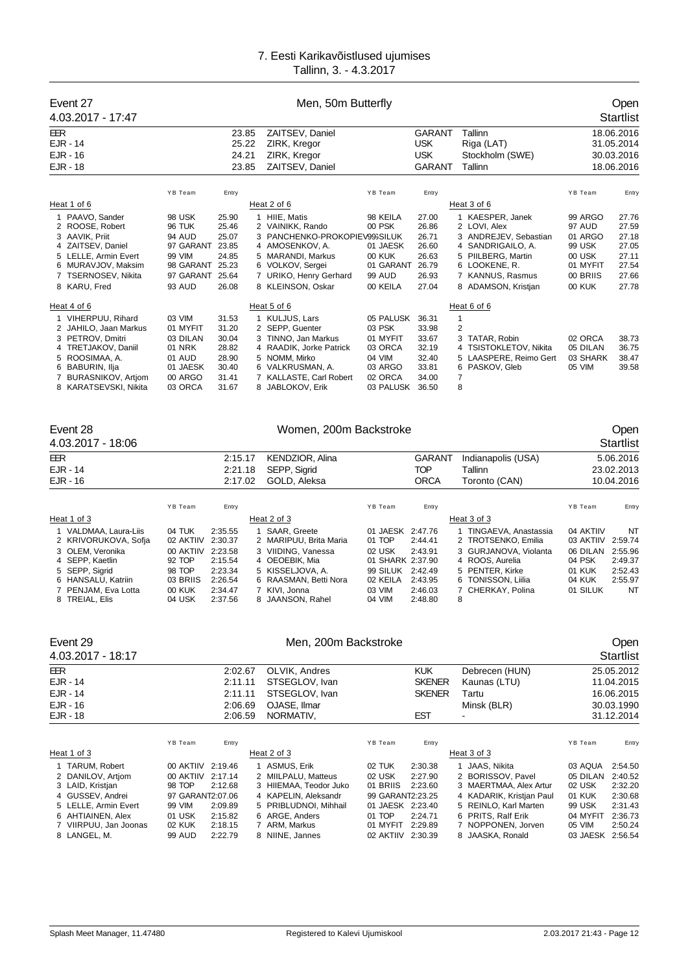| Event 27                              |                                | Men, 50m Butterfly |  |                                                  |                    |                |                                            |                   |                       |  |  |
|---------------------------------------|--------------------------------|--------------------|--|--------------------------------------------------|--------------------|----------------|--------------------------------------------|-------------------|-----------------------|--|--|
| 4.03.2017 - 17:47                     |                                |                    |  |                                                  |                    |                |                                            |                   | <b>Startlist</b>      |  |  |
| <b>EER</b>                            |                                | 23.85              |  | ZAITSEV, Daniel                                  |                    | <b>GARANT</b>  | Tallinn                                    | 18.06.2016        |                       |  |  |
| $EJR - 14$                            | 25.22                          |                    |  | ZIRK, Kregor                                     |                    | <b>USK</b>     | Riga (LAT)                                 | 31.05.2014        |                       |  |  |
| $EJR - 16$                            |                                | 24.21              |  | ZIRK, Kregor                                     |                    | <b>USK</b>     | Stockholm (SWE)                            | 30.03.2016        |                       |  |  |
| <b>EJR - 18</b>                       |                                | 23.85              |  | ZAITSEV, Daniel                                  |                    | <b>GARANT</b>  | Tallinn                                    |                   | 18.06.2016            |  |  |
|                                       | YB Team                        | Entry              |  |                                                  | YB Team            | Entry          |                                            | YB Team           | Entry                 |  |  |
| Heat 1 of 6                           |                                |                    |  | Heat 2 of 6                                      |                    |                | Heat 3 of 6                                |                   |                       |  |  |
| PAAVO, Sander<br>2 ROOSE, Robert      | <b>98 USK</b><br><b>96 TUK</b> | 25.90<br>25.46     |  | 1 HIIE. Matis<br>2 VAINIKK, Rando                | 98 KEILA<br>00 PSK | 27.00<br>26.86 | 1 KAESPER, Janek<br>2 LOVI, Alex           | 99 ARGO<br>97 AUD | 27.76<br>27.59        |  |  |
| 3 AAVIK, Priit<br>4 ZAITSEV, Daniel   | 94 AUD<br>97 GARANT            | 25.07<br>23.85     |  | 3 PANCHENKO-PROKOPIEV993SILUK<br>4 AMOSENKOV, A. | 01 JAESK           | 26.71<br>26.60 | 3 ANDREJEV, Sebastian<br>4 SANDRIGAILO, A. | 01 ARGO<br>99 USK | 27.18<br>27.05        |  |  |
| 5 LELLE, Armin Evert                  | 99 VIM                         | 24.85              |  | 5 MARANDI, Markus                                | <b>00 KUK</b>      | 26.63          | 5 PIILBERG, Martin                         | 00 USK            | 27.11                 |  |  |
| 6 MURAVJOV, Maksim                    | 98 GARANT                      | 25.23              |  | 6 VOLKOV, Sergei                                 | 01 GARANT          | 26.79          | 6 LOOKENE, R.                              | 01 MYFIT          | 27.54                 |  |  |
| TSERNOSEV, Nikita                     | 97 GARANT                      | 25.64              |  | 7 URIKO, Henry Gerhard                           | <b>99 AUD</b>      | 26.93          | 7 KANNUS, Rasmus                           | 00 BRIIS          | 27.66                 |  |  |
| 8 KARU, Fred                          | 93 AUD                         | 26.08              |  | 8 KLEINSON, Oskar                                | 00 KEILA           | 27.04          | 8 ADAMSON, Kristjan                        | 00 KUK            | 27.78                 |  |  |
| Heat 4 of 6                           |                                |                    |  | Heat 5 of 6                                      |                    |                | Heat 6 of 6                                |                   |                       |  |  |
| 1 VIHERPUU, Rihard                    | 03 VIM                         | 31.53              |  | 1 KULJUS, Lars                                   | 05 PALUSK          | 36.31          | 1                                          |                   |                       |  |  |
| 2 JAHILO, Jaan Markus                 | 01 MYFIT                       | 31.20              |  | 2 SEPP, Guenter                                  | 03 PSK             | 33.98          | $\overline{2}$                             |                   |                       |  |  |
| PETROV. Dmitri<br>3                   | 03 DILAN                       | 30.04              |  | 3 TINNO. Jan Markus                              | 01 MYFIT           | 33.67          | 3 TATAR, Robin                             | 02 ORCA           | 38.73                 |  |  |
| 4 TRETJAKOV, Daniil                   | 01 NRK                         | 28.82              |  | 4 RAADIK, Jorke Patrick                          | 03 ORCA            | 32.19          | 4 TSISTOKLETOV, Nikita                     | 05 DILAN          | 36.75                 |  |  |
| 5 ROOSIMAA, A.                        | 01 AUD                         | 28.90              |  | 5 NOMM. Mirko                                    | 04 VIM             | 32.40          | 5 LAASPERE, Reimo Gert                     | 03 SHARK          | 38.47                 |  |  |
| 6 BABURIN, Ilja<br>BURASNIKOV, Artiom | 01 JAESK<br>00 ARGO            | 30.40<br>31.41     |  | 6 VALKRUSMAN, A.<br>7 KALLASTE, Carl Robert      | 03 ARGO<br>02 ORCA | 33.81<br>34.00 | 6 PASKOV, Gleb                             | 05 VIM            | 39.58                 |  |  |
| 8 KARATSEVSKI, Nikita                 | 03 ORCA                        | 31.67              |  | 8 JABLOKOV, Erik                                 | 03 PALUSK          | 36.50          | 7<br>8                                     |                   |                       |  |  |
| Event 28<br>0.0017 10.00              |                                |                    |  | Women, 200m Backstroke                           |                    |                |                                            |                   | Open<br>$\sim$ $\sim$ |  |  |

| 4.03.2017 - 18:06     |           |         |  |                        |                  |               |                        |                          | <b>Startlist</b> |
|-----------------------|-----------|---------|--|------------------------|------------------|---------------|------------------------|--------------------------|------------------|
| <b>EER</b>            |           | 2:15.17 |  | <b>KENDZIOR, Alina</b> |                  | <b>GARANT</b> | Indianapolis (USA)     | 5.06.2016                |                  |
| $EJR - 14$            |           | 2:21.18 |  | SEPP, Sigrid           |                  | TOP           | Tallinn                | 23.02.2013<br>10.04.2016 |                  |
| $EJR - 16$            |           | 2:17.02 |  | GOLD, Aleksa           |                  | <b>ORCA</b>   | Toronto (CAN)          |                          |                  |
|                       | YB Team   | Entry   |  |                        | YB Team          | Entry         |                        | YB Team                  | Entry            |
| Heat 1 of 3           |           |         |  | Heat 2 of 3            |                  |               | Heat 3 of 3            |                          |                  |
| 1 VALDMAA, Laura-Liis | 04 TUK    | 2:35.55 |  | SAAR, Greete           | 01 JAESK 2:47.76 |               | 1 TINGAEVA, Anastassia | 04 AKTIIV                | <b>NT</b>        |
| 2 KRIVORUKOVA, Sofja  | 02 AKTIIV | 2:30.37 |  | 2 MARIPUU, Brita Maria | 01 TOP           | 2:44.41       | 2 TROTSENKO, Emilia    | 03 AKTIIV                | 2:59.74          |
| 3 OLEM. Veronika      | 00 AKTIIV | 2:23.58 |  | 3 VIIDING, Vanessa     | 02 USK           | 2:43.91       | 3 GURJANOVA, Violanta  | 06 DILAN                 | 2:55.96          |
| 4 SEPP, Kaetlin       | 92 TOP    | 2:15.54 |  | 4 OEOEBIK, Mia         | 01 SHARK 2:37.90 |               | 4 ROOS, Aurelia        | 04 PSK                   | 2:49.37          |
| 5 SEPP, Sigrid        | 98 TOP    | 2:23.34 |  | 5 KISSELJOVA, A.       | 99 SILUK         | 2:42.49       | 5 PENTER, Kirke        | <b>01 KUK</b>            | 2:52.43          |
| 6 HANSALU, Katriin    | 03 BRIIS  | 2:26.54 |  | 6 RAASMAN, Betti Nora  | 02 KEILA         | 2:43.95       | 6 TONISSON, Liilia     | 04 KUK                   | 2:55.97          |
| 7 PENJAM. Eva Lotta   | 00 KUK    | 2:34.47 |  | 7 KIVI, Jonna          | 03 VIM           | 2:46.03       | 7 CHERKAY, Polina      | 01 SILUK                 | NT               |
| 8 TREIAL, Elis        | 04 USK    | 2:37.56 |  | 8 JAANSON, Rahel       | 04 VIM           | 2:48.80       | 8                      |                          |                  |

| Event 29<br>4.03.2017 - 18:17 | Men, 200m Backstroke |         |               |                        |                  |                |                          | Open<br><b>Startlist</b> |            |  |
|-------------------------------|----------------------|---------|---------------|------------------------|------------------|----------------|--------------------------|--------------------------|------------|--|
| <b>EER</b>                    | 2:02.67              |         | OLVIK, Andres |                        | <b>KUK</b>       | Debrecen (HUN) |                          | 25.05.2012               |            |  |
| $EJR - 14$                    |                      | 2:11.11 |               | STSEGLOV, Ivan         |                  | <b>SKENER</b>  | Kaunas (LTU)             | 11.04.2015               |            |  |
| $EJR - 14$                    |                      | 2:11.11 |               | STSEGLOV, Ivan         |                  | <b>SKENER</b>  | Tartu                    | 16.06.2015               |            |  |
| $EJR - 16$                    |                      | 2:06.69 |               | OJASE. Ilmar           |                  |                | Minsk (BLR)              | 30.03.1990               |            |  |
| $EJR - 18$                    |                      | 2:06.59 |               | NORMATIV,              |                  | <b>EST</b>     |                          |                          | 31.12.2014 |  |
|                               | YB Team              | Entry   |               |                        | YB Team          | Entry          |                          | YB Team                  | Entry      |  |
| Heat 1 of 3                   |                      |         |               | Heat 2 of 3            |                  |                | Heat 3 of 3              |                          |            |  |
| 1 TARUM, Robert               | 00 AKTIIV            | 2:19.46 |               | 1 ASMUS, Erik          | 02 TUK           | 2:30.38        | 1 JAAS, Nikita           | 03 AQUA                  | 2:54.50    |  |
| 2 DANILOV, Artiom             | 00 AKTIIV            | 2:17.14 |               | 2 MIILPALU, Matteus    | 02 USK           | 2:27.90        | 2 BORISSOV, Pavel        | 05 DILAN                 | 2:40.52    |  |
| 3 LAID, Kristjan              | 98 TOP               | 2:12.68 |               | 3 HIIEMAA, Teodor Juko | 01 BRIIS         | 2:23.60        | 3 MAERTMAA, Alex Artur   | 02 USK                   | 2:32.20    |  |
| 4 GUSSEV, Andrei              | 97 GARANT2:07.06     |         |               | 4 KAPELIN, Aleksandr   | 99 GARANT2:23.25 |                | 4 KADARIK, Kristian Paul | 01 KUK                   | 2:30.68    |  |
| 5 LELLE, Armin Evert          | 99 VIM               | 2:09.89 |               | 5 PRIBLUDNOI, Mihhail  | 01 JAESK 2:23.40 |                | 5 REINLO, Karl Marten    | 99 USK                   | 2:31.43    |  |
| 6 AHTIAINEN, Alex             | 01 USK               | 2:15.82 |               | 6 ARGE, Anders         | 01 TOP           | 2:24.71        | 6 PRITS, Ralf Erik       | 04 MYFIT                 | 2:36.73    |  |
| 7 VIIRPUU, Jan Joonas         | 02 KUK               | 2:18.15 |               | 7 ARM, Markus          | 01 MYFIT         | 2:29.89        | 7 NOPPONEN, Jorven       | 05 VIM                   | 2:50.24    |  |
| 8 LANGEL, M.                  | <b>99 AUD</b>        | 2:22.79 |               | 8 NIINE, Jannes        | 02 AKTIIV        | 2:30.39        | 8 JAASKA, Ronald         | 03 JAESK 2:56.54         |            |  |